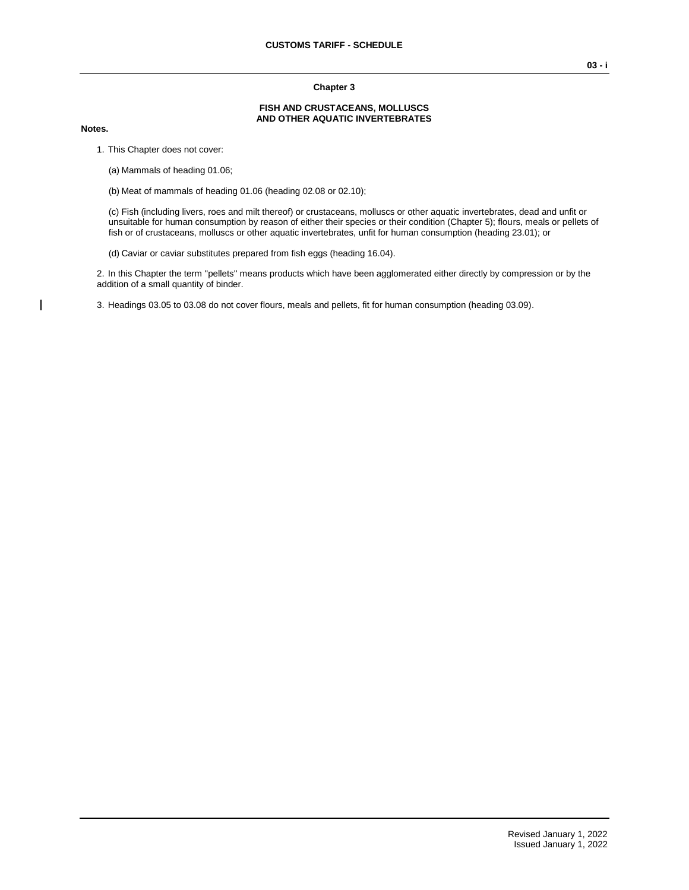#### **Chapter 3**

#### **FISH AND CRUSTACEANS, MOLLUSCS AND OTHER AQUATIC INVERTEBRATES**

#### **Notes.**

1. This Chapter does not cover:

(a) Mammals of heading 01.06;

(b) Meat of mammals of heading 01.06 (heading 02.08 or 02.10);

(c) Fish (including livers, roes and milt thereof) or crustaceans, molluscs or other aquatic invertebrates, dead and unfit or unsuitable for human consumption by reason of either their species or their condition (Chapter 5); flours, meals or pellets of fish or of crustaceans, molluscs or other aquatic invertebrates, unfit for human consumption (heading 23.01); or

(d) Caviar or caviar substitutes prepared from fish eggs (heading 16.04).

2. In this Chapter the term ''pellets'' means products which have been agglomerated either directly by compression or by the addition of a small quantity of binder.

3. Headings 03.05 to 03.08 do not cover flours, meals and pellets, fit for human consumption (heading 03.09).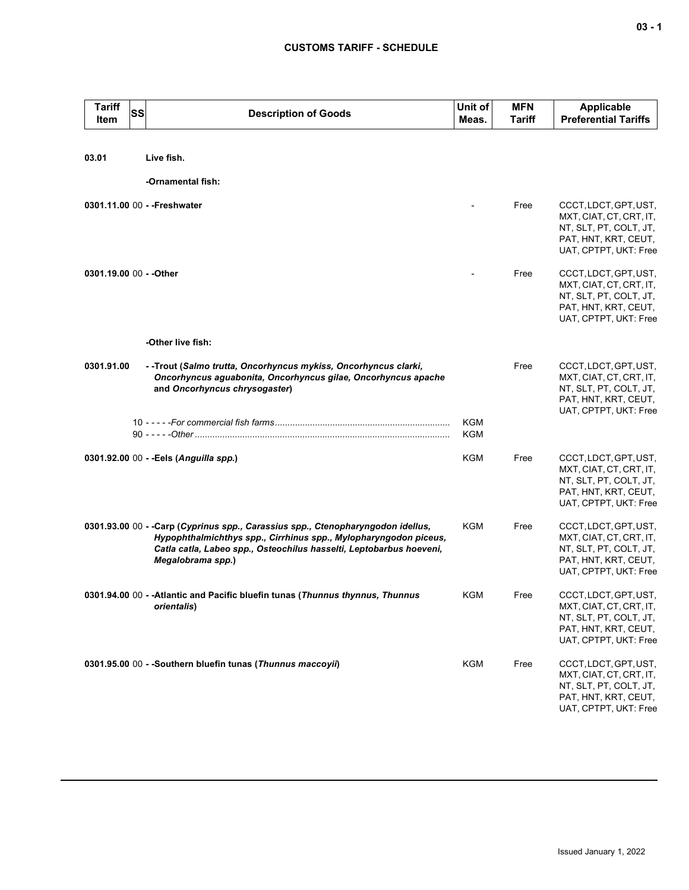| <b>Tariff</b><br>Item   | <b>SS</b> | <b>Description of Goods</b>                                                                                                                                                                                                                     | Unit of<br>Meas. | <b>MFN</b><br>Tariff | <b>Applicable</b><br><b>Preferential Tariffs</b>                                                                            |
|-------------------------|-----------|-------------------------------------------------------------------------------------------------------------------------------------------------------------------------------------------------------------------------------------------------|------------------|----------------------|-----------------------------------------------------------------------------------------------------------------------------|
|                         |           |                                                                                                                                                                                                                                                 |                  |                      |                                                                                                                             |
| 03.01                   |           | Live fish.                                                                                                                                                                                                                                      |                  |                      |                                                                                                                             |
|                         |           | -Ornamental fish:                                                                                                                                                                                                                               |                  |                      |                                                                                                                             |
|                         |           | 0301.11.00 00 - - Freshwater                                                                                                                                                                                                                    |                  | Free                 | CCCT, LDCT, GPT, UST,<br>MXT, CIAT, CT, CRT, IT,<br>NT, SLT, PT, COLT, JT,<br>PAT, HNT, KRT, CEUT,<br>UAT, CPTPT, UKT: Free |
| 0301.19.00 00 - - Other |           |                                                                                                                                                                                                                                                 |                  | Free                 | CCCT, LDCT, GPT, UST,<br>MXT, CIAT, CT, CRT, IT,<br>NT, SLT, PT, COLT, JT,<br>PAT, HNT, KRT, CEUT,<br>UAT, CPTPT, UKT: Free |
|                         |           | -Other live fish:                                                                                                                                                                                                                               |                  |                      |                                                                                                                             |
| 0301.91.00              |           | - -Trout (Salmo trutta, Oncorhyncus mykiss, Oncorhyncus clarki,<br>Oncorhyncus aguabonita, Oncorhyncus gilae, Oncorhyncus apache<br>and Oncorhyncus chrysogaster)                                                                               |                  | Free                 | CCCT, LDCT, GPT, UST,<br>MXT, CIAT, CT, CRT, IT,<br>NT, SLT, PT, COLT, JT,<br>PAT, HNT, KRT, CEUT,<br>UAT, CPTPT, UKT: Free |
|                         |           |                                                                                                                                                                                                                                                 | KGM<br>KGM       |                      |                                                                                                                             |
|                         |           | 0301.92.00 00 - - Eels (Anguilla spp.)                                                                                                                                                                                                          | KGM              | Free                 | CCCT, LDCT, GPT, UST,<br>MXT, CIAT, CT, CRT, IT,<br>NT, SLT, PT, COLT, JT,<br>PAT, HNT, KRT, CEUT,<br>UAT, CPTPT, UKT: Free |
|                         |           | 0301.93.00 00 - -Carp (Cyprinus spp., Carassius spp., Ctenopharyngodon idellus,<br>Hypophthalmichthys spp., Cirrhinus spp., Mylopharyngodon piceus,<br>Catla catla, Labeo spp., Osteochilus hasselti, Leptobarbus hoeveni,<br>Megalobrama spp.) | <b>KGM</b>       | Free                 | CCCT, LDCT, GPT, UST,<br>MXT, CIAT, CT, CRT, IT,<br>NT, SLT, PT, COLT, JT,<br>PAT, HNT, KRT, CEUT,<br>UAT, CPTPT, UKT: Free |
|                         |           | 0301.94.00 00 - - Atlantic and Pacific bluefin tunas (Thunnus thynnus, Thunnus<br>orientalis)                                                                                                                                                   | KGM              | Free                 | CCCT, LDCT, GPT, UST,<br>MXT, CIAT, CT, CRT, IT,<br>NT, SLT, PT, COLT, JT,<br>PAT, HNT, KRT, CEUT,<br>UAT, CPTPT, UKT: Free |
|                         |           | 0301.95.00 00 - -Southern bluefin tunas (Thunnus maccoyii)                                                                                                                                                                                      | <b>KGM</b>       | Free                 | CCCT, LDCT, GPT, UST,<br>MXT, CIAT, CT, CRT, IT,<br>NT, SLT, PT, COLT, JT,<br>PAT, HNT, KRT, CEUT,<br>UAT, CPTPT, UKT: Free |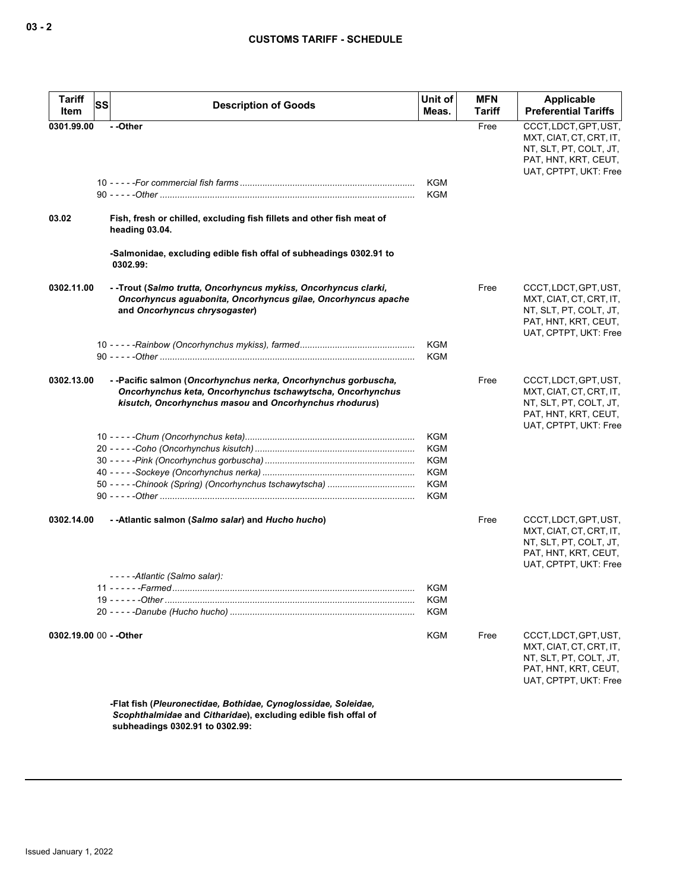| <b>Tariff</b><br>Item | SS<br><b>Description of Goods</b>                                                                                                                                                     | Unit of<br>Meas.                                                                 | <b>MFN</b><br>Tariff | <b>Applicable</b><br><b>Preferential Tariffs</b>                                                                            |
|-----------------------|---------------------------------------------------------------------------------------------------------------------------------------------------------------------------------------|----------------------------------------------------------------------------------|----------------------|-----------------------------------------------------------------------------------------------------------------------------|
| 0301.99.00            | --Other                                                                                                                                                                               |                                                                                  | Free                 | CCCT, LDCT, GPT, UST,<br>MXT, CIAT, CT, CRT, IT,<br>NT, SLT, PT, COLT, JT,<br>PAT, HNT, KRT, CEUT,<br>UAT, CPTPT, UKT: Free |
|                       |                                                                                                                                                                                       | <b>KGM</b><br><b>KGM</b>                                                         |                      |                                                                                                                             |
| 03.02                 | Fish, fresh or chilled, excluding fish fillets and other fish meat of<br>heading 03.04.                                                                                               |                                                                                  |                      |                                                                                                                             |
|                       | -Salmonidae, excluding edible fish offal of subheadings 0302.91 to<br>0302.99:                                                                                                        |                                                                                  |                      |                                                                                                                             |
| 0302.11.00            | - -Trout (Salmo trutta, Oncorhyncus mykiss, Oncorhyncus clarki,<br>Oncorhyncus aguabonita, Oncorhyncus gilae, Oncorhyncus apache<br>and Oncorhyncus chrysogaster)                     |                                                                                  | Free                 | CCCT, LDCT, GPT, UST,<br>MXT, CIAT, CT, CRT, IT,<br>NT, SLT, PT, COLT, JT,<br>PAT, HNT, KRT, CEUT,<br>UAT, CPTPT, UKT: Free |
|                       |                                                                                                                                                                                       | <b>KGM</b><br><b>KGM</b>                                                         |                      |                                                                                                                             |
| 0302.13.00            | --Pacific salmon (Oncorhynchus nerka, Oncorhynchus gorbuscha,<br>Oncorhynchus keta, Oncorhynchus tschawytscha, Oncorhynchus<br>kisutch, Oncorhynchus masou and Oncorhynchus rhodurus) |                                                                                  | Free                 | CCCT, LDCT, GPT, UST,<br>MXT, CIAT, CT, CRT, IT,<br>NT, SLT, PT, COLT, JT,<br>PAT, HNT, KRT, CEUT,<br>UAT, CPTPT, UKT: Free |
|                       |                                                                                                                                                                                       | <b>KGM</b><br><b>KGM</b><br><b>KGM</b><br><b>KGM</b><br><b>KGM</b><br><b>KGM</b> |                      |                                                                                                                             |
| 0302.14.00            | - -Atlantic salmon (Salmo salar) and Hucho hucho)                                                                                                                                     |                                                                                  | Free                 | CCCT, LDCT, GPT, UST,<br>MXT, CIAT, CT, CRT, IT,<br>NT, SLT, PT, COLT, JT,<br>PAT, HNT, KRT, CEUT,<br>UAT, CPTPT, UKT: Free |
|                       | -----Atlantic (Salmo salar):                                                                                                                                                          | KGM<br>KGM<br><b>KGM</b>                                                         |                      |                                                                                                                             |
|                       | 0302.19.00 00 - - Other                                                                                                                                                               | <b>KGM</b>                                                                       | Free                 | CCCT, LDCT, GPT, UST,<br>MXT, CIAT, CT, CRT, IT,<br>NT, SLT, PT, COLT, JT,<br>PAT, HNT, KRT, CEUT,<br>UAT, CPTPT, UKT: Free |
|                       | -Flat fish (Pleuronectidae, Bothidae, Cynoglossidae, Soleidae,<br>Scophthalmidae and Citharidae), excluding edible fish offal of                                                      |                                                                                  |                      |                                                                                                                             |

**subheadings 0302.91 to 0302.99:**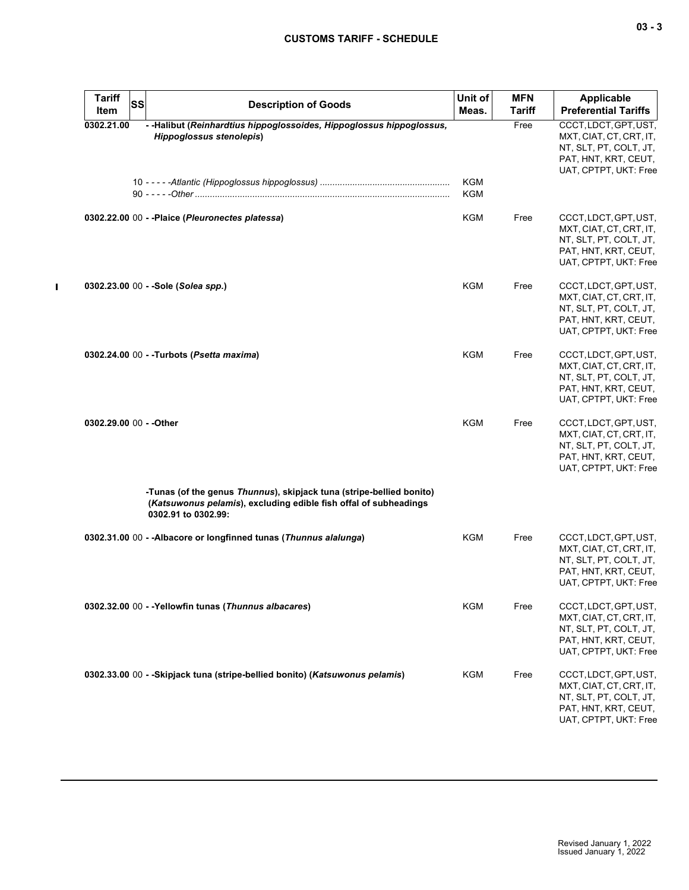| $-$<br>$\sim$ | $\sim$ |
|---------------|--------|
|---------------|--------|

| <b>Tariff</b>           | <b>SS</b> | <b>Description of Goods</b>                                                                                                                                     | Unit of           | <b>MFN</b>    | <b>Applicable</b>                                                                                                           |
|-------------------------|-----------|-----------------------------------------------------------------------------------------------------------------------------------------------------------------|-------------------|---------------|-----------------------------------------------------------------------------------------------------------------------------|
| Item                    |           |                                                                                                                                                                 | Meas.             | <b>Tariff</b> | <b>Preferential Tariffs</b>                                                                                                 |
| 0302.21.00              |           | - - Halibut (Reinhardtius hippoglossoides, Hippoglossus hippoglossus,<br><b>Hippoglossus stenolepis)</b>                                                        | <b>KGM</b><br>KGM | Free          | CCCT, LDCT, GPT, UST,<br>MXT, CIAT, CT, CRT, IT,<br>NT, SLT, PT, COLT, JT,<br>PAT, HNT, KRT, CEUT,<br>UAT, CPTPT, UKT: Free |
|                         |           | 0302.22.00 00 - - Plaice (Pleuronectes platessa)                                                                                                                | KGM               | Free          | CCCT, LDCT, GPT, UST,<br>MXT, CIAT, CT, CRT, IT,<br>NT, SLT, PT, COLT, JT,<br>PAT, HNT, KRT, CEUT,<br>UAT, CPTPT, UKT: Free |
|                         |           | 0302.23.00 00 - -Sole (Solea spp.)                                                                                                                              | <b>KGM</b>        | Free          | CCCT, LDCT, GPT, UST,<br>MXT, CIAT, CT, CRT, IT,<br>NT, SLT, PT, COLT, JT,<br>PAT, HNT, KRT, CEUT,<br>UAT, CPTPT, UKT: Free |
|                         |           | 0302.24.00 00 - - Turbots (Psetta maxima)                                                                                                                       | <b>KGM</b>        | Free          | CCCT, LDCT, GPT, UST,<br>MXT, CIAT, CT, CRT, IT,<br>NT, SLT, PT, COLT, JT,<br>PAT, HNT, KRT, CEUT,<br>UAT, CPTPT, UKT: Free |
| 0302.29.00 00 - - Other |           |                                                                                                                                                                 | KGM               | Free          | CCCT, LDCT, GPT, UST,<br>MXT, CIAT, CT, CRT, IT,<br>NT, SLT, PT, COLT, JT,<br>PAT, HNT, KRT, CEUT,<br>UAT, CPTPT, UKT: Free |
|                         |           | -Tunas (of the genus Thunnus), skipjack tuna (stripe-bellied bonito)<br>(Katsuwonus pelamis), excluding edible fish offal of subheadings<br>0302.91 to 0302.99: |                   |               |                                                                                                                             |
|                         |           | 0302.31.00 00 - - Albacore or longfinned tunas (Thunnus alalunga)                                                                                               | KGM               | Free          | CCCT, LDCT, GPT, UST,<br>MXT, CIAT, CT, CRT, IT,<br>NT, SLT, PT, COLT, JT,<br>PAT, HNT, KRT, CEUT,<br>UAT, CPTPT, UKT: Free |
|                         |           | 0302.32.00 00 - -Yellowfin tunas (Thunnus albacares)                                                                                                            | KGM               | Free          | CCCT, LDCT, GPT, UST,<br>MXT, CIAT, CT, CRT, IT,<br>NT, SLT, PT, COLT, JT,<br>PAT, HNT, KRT, CEUT,<br>UAT, CPTPT, UKT: Free |
|                         |           | 0302.33.00 00 - -Skipjack tuna (stripe-bellied bonito) (Katsuwonus pelamis)                                                                                     | <b>KGM</b>        | Free          | CCCT, LDCT, GPT, UST,<br>MXT, CIAT, CT, CRT, IT,<br>NT, SLT, PT, COLT, JT,<br>PAT, HNT, KRT, CEUT,<br>UAT, CPTPT, UKT: Free |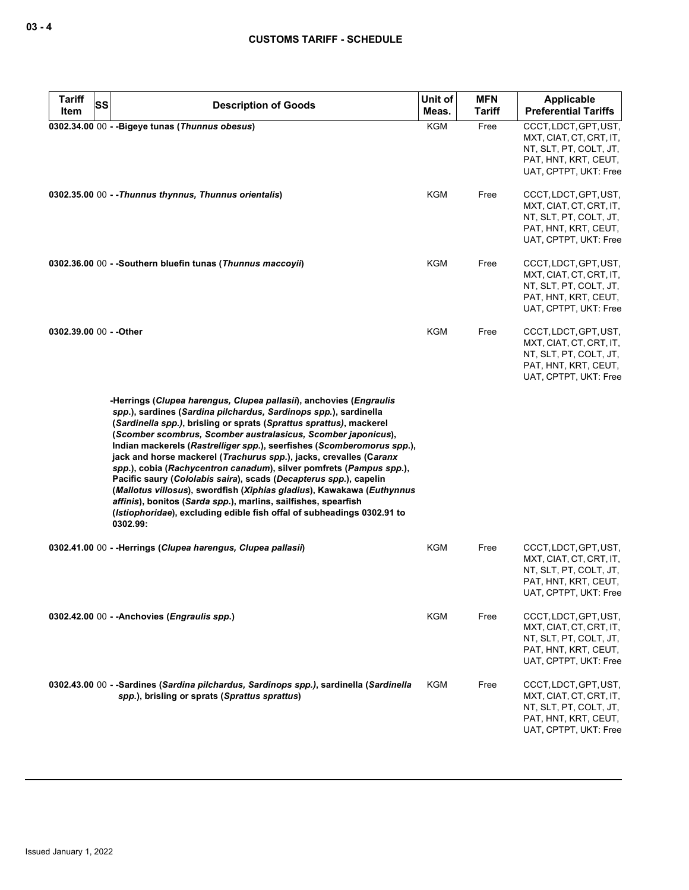| <b>Tariff</b><br><b>SS</b><br>Item | <b>Description of Goods</b>                                                                                                                                                                                                                                                                                                                                                                                                                                                                                                                                                                                                                                                                                                                                                                                 | Unit of<br>Meas. | <b>MFN</b><br><b>Tariff</b> | <b>Applicable</b><br><b>Preferential Tariffs</b>                                                                            |
|------------------------------------|-------------------------------------------------------------------------------------------------------------------------------------------------------------------------------------------------------------------------------------------------------------------------------------------------------------------------------------------------------------------------------------------------------------------------------------------------------------------------------------------------------------------------------------------------------------------------------------------------------------------------------------------------------------------------------------------------------------------------------------------------------------------------------------------------------------|------------------|-----------------------------|-----------------------------------------------------------------------------------------------------------------------------|
|                                    | 0302.34.00 00 - - Bigeye tunas (Thunnus obesus)                                                                                                                                                                                                                                                                                                                                                                                                                                                                                                                                                                                                                                                                                                                                                             | KGM              | Free                        | CCCT, LDCT, GPT, UST,<br>MXT, CIAT, CT, CRT, IT,<br>NT, SLT, PT, COLT, JT,<br>PAT, HNT, KRT, CEUT,<br>UAT, CPTPT, UKT: Free |
|                                    | 0302.35.00 00 - - Thunnus thynnus, Thunnus orientalis)                                                                                                                                                                                                                                                                                                                                                                                                                                                                                                                                                                                                                                                                                                                                                      | KGM              | Free                        | CCCT, LDCT, GPT, UST,<br>MXT, CIAT, CT, CRT, IT,<br>NT, SLT, PT, COLT, JT,<br>PAT, HNT, KRT, CEUT,<br>UAT, CPTPT, UKT: Free |
|                                    | 0302.36.00 00 - - Southern bluefin tunas (Thunnus maccoyii)                                                                                                                                                                                                                                                                                                                                                                                                                                                                                                                                                                                                                                                                                                                                                 | KGM              | Free                        | CCCT, LDCT, GPT, UST,<br>MXT, CIAT, CT, CRT, IT,<br>NT, SLT, PT, COLT, JT,<br>PAT, HNT, KRT, CEUT,<br>UAT, CPTPT, UKT: Free |
| 0302.39.00 00 - - Other            |                                                                                                                                                                                                                                                                                                                                                                                                                                                                                                                                                                                                                                                                                                                                                                                                             | KGM              | Free                        | CCCT, LDCT, GPT, UST,<br>MXT, CIAT, CT, CRT, IT,<br>NT, SLT, PT, COLT, JT,<br>PAT, HNT, KRT, CEUT,<br>UAT, CPTPT, UKT: Free |
|                                    | -Herrings (Clupea harengus, Clupea pallasii), anchovies (Engraulis<br>spp.), sardines (Sardina pilchardus, Sardinops spp.), sardinella<br>(Sardinella spp.), brisling or sprats (Sprattus sprattus), mackerel<br>(Scomber scombrus, Scomber australasicus, Scomber japonicus),<br>Indian mackerels (Rastrelliger spp.), seerfishes (Scomberomorus spp.),<br>jack and horse mackerel (Trachurus spp.), jacks, crevalles (Caranx<br>spp.), cobia (Rachycentron canadum), silver pomfrets (Pampus spp.),<br>Pacific saury (Cololabis saira), scads (Decapterus spp.), capelin<br>(Mallotus villosus), swordfish (Xiphias gladius), Kawakawa (Euthynnus<br>affinis), bonitos (Sarda spp.), marlins, sailfishes, spearfish<br>(Istiophoridae), excluding edible fish offal of subheadings 0302.91 to<br>0302.99: |                  |                             |                                                                                                                             |
|                                    | 0302.41.00 00 - -Herrings (Clupea harengus, Clupea pallasii)                                                                                                                                                                                                                                                                                                                                                                                                                                                                                                                                                                                                                                                                                                                                                | KGM              | Free                        | CCCT, LDCT, GPT, UST,<br>MXT, CIAT, CT, CRT, IT,<br>NT, SLT, PT, COLT, JT,<br>PAT, HNT, KRT, CEUT,<br>UAT, CPTPT, UKT: Free |
|                                    | 0302.42.00 00 - - Anchovies (Engraulis spp.)                                                                                                                                                                                                                                                                                                                                                                                                                                                                                                                                                                                                                                                                                                                                                                | <b>KGM</b>       | Free                        | CCCT, LDCT, GPT, UST,<br>MXT, CIAT, CT, CRT, IT,<br>NT, SLT, PT, COLT, JT,<br>PAT, HNT, KRT, CEUT,<br>UAT, CPTPT, UKT: Free |
|                                    | 0302.43.00 00 - -Sardines (Sardina pilchardus, Sardinops spp.), sardinella (Sardinella<br>spp.), brisling or sprats (Sprattus sprattus)                                                                                                                                                                                                                                                                                                                                                                                                                                                                                                                                                                                                                                                                     | <b>KGM</b>       | Free                        | CCCT, LDCT, GPT, UST,<br>MXT, CIAT, CT, CRT, IT,<br>NT, SLT, PT, COLT, JT,<br>PAT, HNT, KRT, CEUT,<br>UAT, CPTPT, UKT: Free |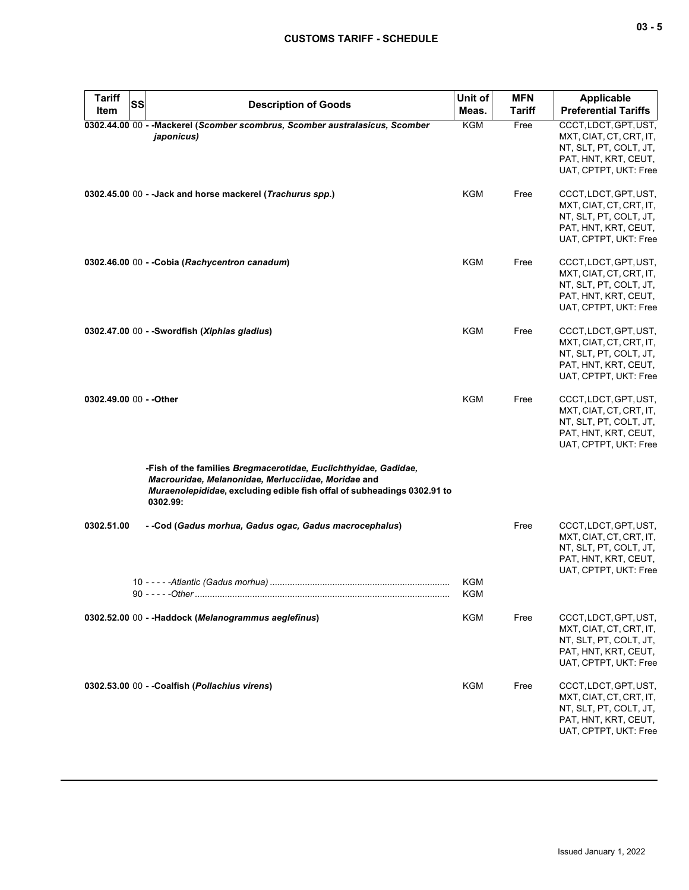| . .<br>. . | $\overline{\phantom{a}}$ |
|------------|--------------------------|
|------------|--------------------------|

| <b>Tariff</b>           | SS<br><b>Description of Goods</b>                                                                                                                                                                             | Unit of    | <b>MFN</b>    | <b>Applicable</b>                                                                                                           |
|-------------------------|---------------------------------------------------------------------------------------------------------------------------------------------------------------------------------------------------------------|------------|---------------|-----------------------------------------------------------------------------------------------------------------------------|
| Item                    |                                                                                                                                                                                                               | Meas.      | <b>Tariff</b> | <b>Preferential Tariffs</b>                                                                                                 |
|                         | 0302.44.00 00 - - Mackerel (Scomber scombrus, Scomber australasicus, Scomber<br>japonicus)                                                                                                                    | <b>KGM</b> | Free          | CCCT, LDCT, GPT, UST,<br>MXT, CIAT, CT, CRT, IT,<br>NT, SLT, PT, COLT, JT,<br>PAT, HNT, KRT, CEUT,<br>UAT, CPTPT, UKT: Free |
|                         | 0302.45.00 00 - - Jack and horse mackerel (Trachurus spp.)                                                                                                                                                    | KGM        | Free          | CCCT, LDCT, GPT, UST,<br>MXT, CIAT, CT, CRT, IT,<br>NT, SLT, PT, COLT, JT,<br>PAT, HNT, KRT, CEUT,<br>UAT, CPTPT, UKT: Free |
|                         | 0302.46.00 00 - - Cobia (Rachycentron canadum)                                                                                                                                                                | <b>KGM</b> | Free          | CCCT, LDCT, GPT, UST,<br>MXT, CIAT, CT, CRT, IT,<br>NT, SLT, PT, COLT, JT,<br>PAT, HNT, KRT, CEUT,<br>UAT, CPTPT, UKT: Free |
|                         | 0302.47.00 00 - - Swordfish (Xiphias gladius)                                                                                                                                                                 | <b>KGM</b> | Free          | CCCT, LDCT, GPT, UST,<br>MXT, CIAT, CT, CRT, IT,<br>NT, SLT, PT, COLT, JT,<br>PAT, HNT, KRT, CEUT,<br>UAT, CPTPT, UKT: Free |
| 0302.49.00 00 - - Other |                                                                                                                                                                                                               | KGM        | Free          | CCCT, LDCT, GPT, UST,<br>MXT, CIAT, CT, CRT, IT,<br>NT, SLT, PT, COLT, JT,<br>PAT, HNT, KRT, CEUT,<br>UAT, CPTPT, UKT: Free |
|                         | -Fish of the families Bregmacerotidae, Euclichthyidae, Gadidae,<br>Macrouridae, Melanonidae, Merlucciidae, Moridae and<br>Muraenolepididae, excluding edible fish offal of subheadings 0302.91 to<br>0302.99: |            |               |                                                                                                                             |
| 0302.51.00              | - -Cod (Gadus morhua, Gadus ogac, Gadus macrocephalus)                                                                                                                                                        | KGM        | Free          | CCCT, LDCT, GPT, UST,<br>MXT, CIAT, CT, CRT, IT,<br>NT, SLT, PT, COLT, JT,<br>PAT, HNT, KRT, CEUT,<br>UAT, CPTPT, UKT: Free |
|                         |                                                                                                                                                                                                               | KGM        |               |                                                                                                                             |
|                         | 0302.52.00 00 - -Haddock (Melanogrammus aeglefinus)                                                                                                                                                           | KGM        | Free          | CCCT, LDCT, GPT, UST,<br>MXT, CIAT, CT, CRT, IT,<br>NT, SLT, PT, COLT, JT,<br>PAT, HNT, KRT, CEUT,<br>UAT, CPTPT, UKT: Free |
|                         | 0302.53.00 00 - -Coalfish (Pollachius virens)                                                                                                                                                                 | KGM        | Free          | CCCT, LDCT, GPT, UST,<br>MXT, CIAT, CT, CRT, IT,<br>NT, SLT, PT, COLT, JT,<br>PAT, HNT, KRT, CEUT,<br>UAT, CPTPT, UKT: Free |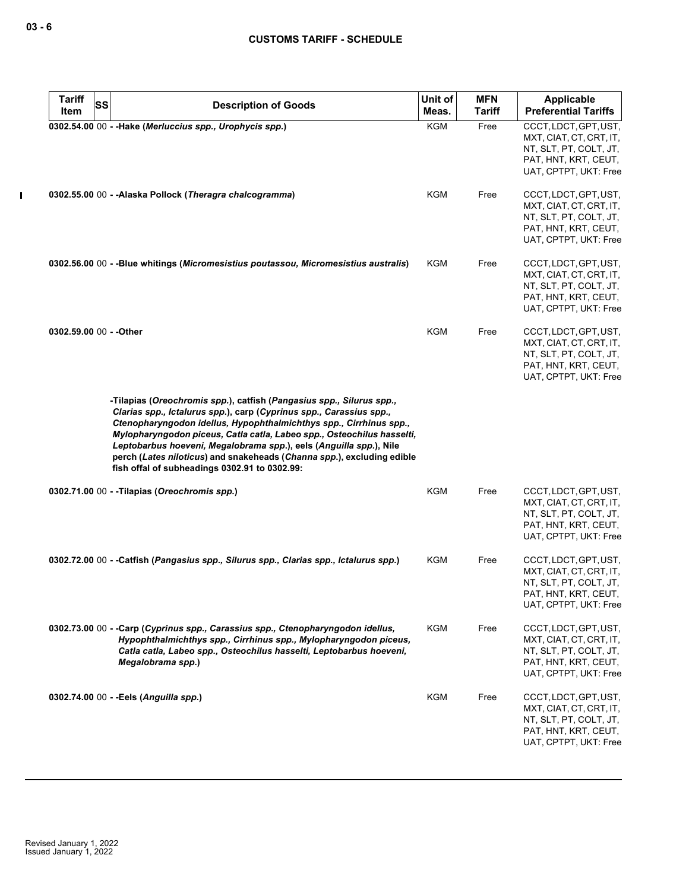| <b>Tariff</b><br><b>SS</b> | <b>Description of Goods</b>                                                                                                                                                                                                                                                                                                                                                                                                                                                                  | Unit of    | <b>MFN</b>    | Applicable                                                                                                                  |
|----------------------------|----------------------------------------------------------------------------------------------------------------------------------------------------------------------------------------------------------------------------------------------------------------------------------------------------------------------------------------------------------------------------------------------------------------------------------------------------------------------------------------------|------------|---------------|-----------------------------------------------------------------------------------------------------------------------------|
| Item                       |                                                                                                                                                                                                                                                                                                                                                                                                                                                                                              | Meas.      | <b>Tariff</b> | <b>Preferential Tariffs</b>                                                                                                 |
|                            | 0302.54.00 00 - - Hake (Merluccius spp., Urophycis spp.)                                                                                                                                                                                                                                                                                                                                                                                                                                     | <b>KGM</b> | Free          | CCCT, LDCT, GPT, UST,<br>MXT, CIAT, CT, CRT, IT,<br>NT, SLT, PT, COLT, JT,<br>PAT, HNT, KRT, CEUT,<br>UAT, CPTPT, UKT: Free |
|                            | 0302.55.00 00 - - Alaska Pollock (Theragra chalcogramma)                                                                                                                                                                                                                                                                                                                                                                                                                                     | KGM        | Free          | CCCT, LDCT, GPT, UST,<br>MXT, CIAT, CT, CRT, IT,<br>NT, SLT, PT, COLT, JT,<br>PAT, HNT, KRT, CEUT,<br>UAT, CPTPT, UKT: Free |
|                            | 0302.56.00 00 - - Blue whitings (Micromesistius poutassou, Micromesistius australis)                                                                                                                                                                                                                                                                                                                                                                                                         | KGM        | Free          | CCCT, LDCT, GPT, UST,<br>MXT, CIAT, CT, CRT, IT,<br>NT, SLT, PT, COLT, JT,<br>PAT, HNT, KRT, CEUT,<br>UAT, CPTPT, UKT: Free |
| 0302.59.00 00 - - Other    |                                                                                                                                                                                                                                                                                                                                                                                                                                                                                              | <b>KGM</b> | Free          | CCCT, LDCT, GPT, UST,<br>MXT, CIAT, CT, CRT, IT,<br>NT, SLT, PT, COLT, JT,<br>PAT, HNT, KRT, CEUT,<br>UAT, CPTPT, UKT: Free |
|                            | -Tilapias (Oreochromis spp.), catfish (Pangasius spp., Silurus spp.,<br>Clarias spp., Ictalurus spp.), carp (Cyprinus spp., Carassius spp.,<br>Ctenopharyngodon idellus, Hypophthalmichthys spp., Cirrhinus spp.,<br>Mylopharyngodon piceus, Catla catla, Labeo spp., Osteochilus hasselti,<br>Leptobarbus hoeveni, Megalobrama spp.), eels (Anguilla spp.), Nile<br>perch (Lates niloticus) and snakeheads (Channa spp.), excluding edible<br>fish offal of subheadings 0302.91 to 0302.99: |            |               |                                                                                                                             |
|                            | 0302.71.00 00 - - Tilapias (Oreochromis spp.)                                                                                                                                                                                                                                                                                                                                                                                                                                                | KGM        | Free          | CCCT, LDCT, GPT, UST,<br>MXT, CIAT, CT, CRT, IT,<br>NT, SLT, PT, COLT, JT,<br>PAT, HNT, KRT, CEUT,<br>UAT, CPTPT, UKT: Free |
|                            | 0302.72.00 00 - -Catfish (Pangasius spp., Silurus spp., Clarias spp., Ictalurus spp.)                                                                                                                                                                                                                                                                                                                                                                                                        | KGM        | Free          | CCCT, LDCT, GPT, UST,<br>MXT, CIAT, CT, CRT, IT,<br>NT, SLT, PT, COLT, JT,<br>PAT, HNT, KRT, CEUT,<br>UAT, CPTPT, UKT: Free |
|                            | 0302.73.00 00 - -Carp (Cyprinus spp., Carassius spp., Ctenopharyngodon idellus,<br>Hypophthalmichthys spp., Cirrhinus spp., Mylopharyngodon piceus,<br>Catla catla, Labeo spp., Osteochilus hasselti, Leptobarbus hoeveni,<br>Megalobrama spp.)                                                                                                                                                                                                                                              | <b>KGM</b> | Free          | CCCT, LDCT, GPT, UST,<br>MXT, CIAT, CT, CRT, IT,<br>NT, SLT, PT, COLT, JT,<br>PAT, HNT, KRT, CEUT,<br>UAT, CPTPT, UKT: Free |
|                            | 0302.74.00 00 - - Eels (Anguilla spp.)                                                                                                                                                                                                                                                                                                                                                                                                                                                       | <b>KGM</b> | Free          | CCCT, LDCT, GPT, UST,<br>MXT, CIAT, CT, CRT, IT,<br>NT, SLT, PT, COLT, JT,<br>PAT, HNT, KRT, CEUT,<br>UAT, CPTPT, UKT: Free |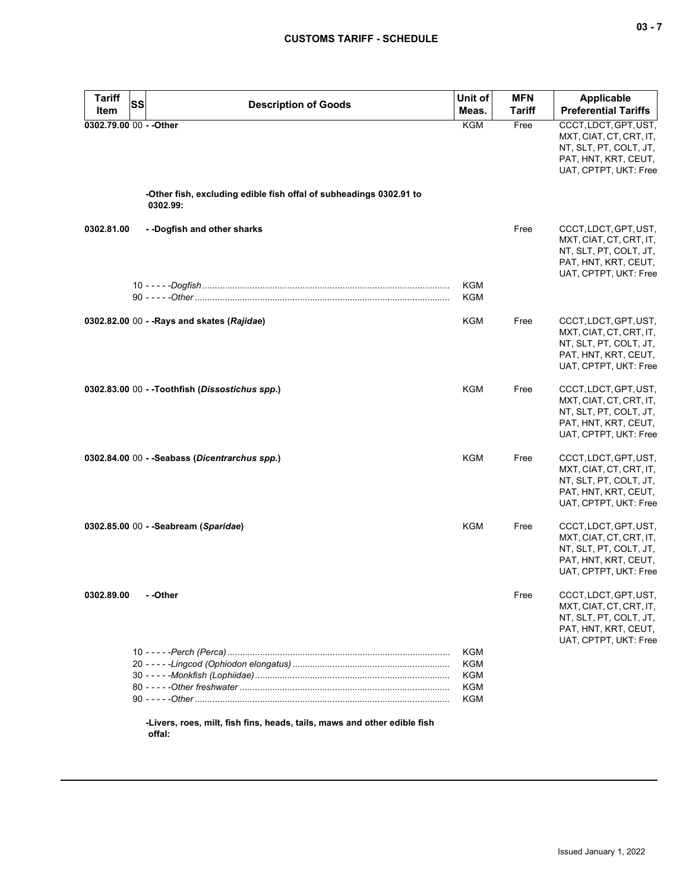| <b>Tariff</b>           | <b>SS</b><br><b>Description of Goods</b>                                           | Unit of                         | <b>MFN</b>    | <b>Applicable</b>                                                                                                           |
|-------------------------|------------------------------------------------------------------------------------|---------------------------------|---------------|-----------------------------------------------------------------------------------------------------------------------------|
| Item                    |                                                                                    | Meas.                           | <b>Tariff</b> | <b>Preferential Tariffs</b>                                                                                                 |
| 0302.79.00 00 - - Other |                                                                                    | <b>KGM</b>                      | Free          | CCCT, LDCT, GPT, UST,<br>MXT, CIAT, CT, CRT, IT,<br>NT, SLT, PT, COLT, JT,<br>PAT, HNT, KRT, CEUT,<br>UAT, CPTPT, UKT: Free |
|                         | -Other fish, excluding edible fish offal of subheadings 0302.91 to<br>0302.99:     |                                 |               |                                                                                                                             |
| 0302.81.00              | --Dogfish and other sharks                                                         |                                 | Free          | CCCT, LDCT, GPT, UST,<br>MXT, CIAT, CT, CRT, IT,<br>NT, SLT, PT, COLT, JT,<br>PAT, HNT, KRT, CEUT,<br>UAT, CPTPT, UKT: Free |
|                         |                                                                                    | <b>KGM</b><br><b>KGM</b>        |               |                                                                                                                             |
|                         | 0302.82.00 00 - - Rays and skates (Rajidae)                                        | <b>KGM</b>                      | Free          | CCCT, LDCT, GPT, UST,<br>MXT, CIAT, CT, CRT, IT,<br>NT, SLT, PT, COLT, JT,<br>PAT, HNT, KRT, CEUT,<br>UAT, CPTPT, UKT: Free |
|                         | 0302.83.00 00 - -Toothfish (Dissostichus spp.)                                     | KGM                             | Free          | CCCT, LDCT, GPT, UST,<br>MXT, CIAT, CT, CRT, IT,<br>NT, SLT, PT, COLT, JT,<br>PAT, HNT, KRT, CEUT,<br>UAT, CPTPT, UKT: Free |
|                         | 0302.84.00 00 - -Seabass (Dicentrarchus spp.)                                      | KGM                             | Free          | CCCT, LDCT, GPT, UST,<br>MXT, CIAT, CT, CRT, IT,<br>NT, SLT, PT, COLT, JT,<br>PAT, HNT, KRT, CEUT,<br>UAT, CPTPT, UKT: Free |
|                         | 0302.85.00 00 - - Seabream (Sparidae)                                              | KGM                             | Free          | CCCT, LDCT, GPT, UST,<br>MXT, CIAT, CT, CRT, IT,<br>NT, SLT, PT, COLT, JT,<br>PAT, HNT, KRT, CEUT,<br>UAT, CPTPT, UKT: Free |
| 0302.89.00              | - -Other                                                                           |                                 | Free          | CCCT, LDCT, GPT, UST,<br>MXT, CIAT, CT, CRT, IT,<br>NT, SLT, PT, COLT, JT,<br>PAT, HNT, KRT, CEUT,<br>UAT, CPTPT, UKT: Free |
|                         |                                                                                    | KGM<br>KGM<br>KGM<br>KGM<br>KGM |               |                                                                                                                             |
|                         | -Livers, roes, milt, fish fins, heads, tails, maws and other edible fish<br>offal: |                                 |               |                                                                                                                             |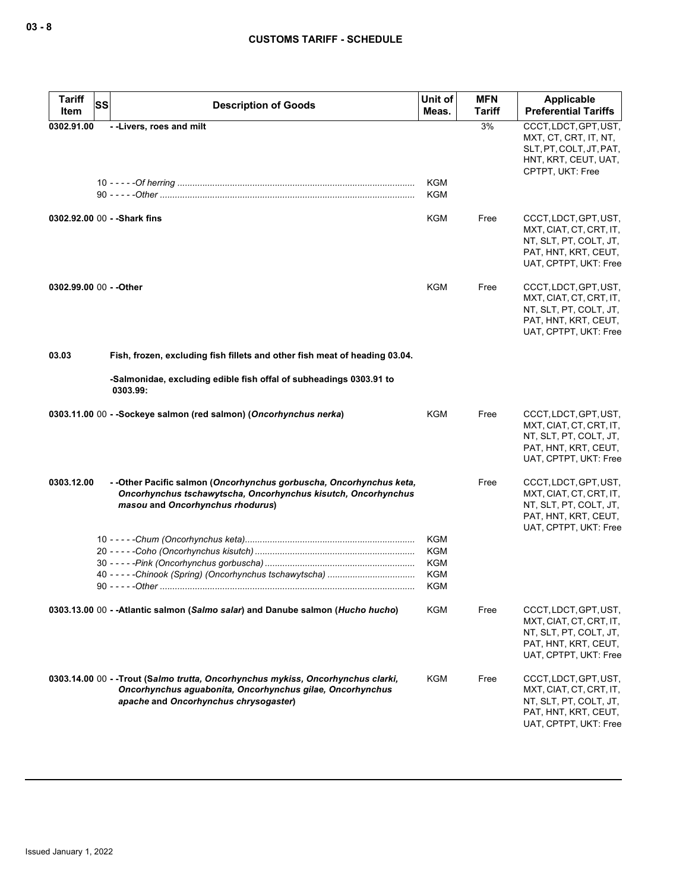| <b>Tariff</b><br>Item   | <b>SS</b> | <b>Description of Goods</b>                                                                                                                                                            | Unit of<br>Meas.                                                   | <b>MFN</b><br><b>Tariff</b> | <b>Applicable</b><br><b>Preferential Tariffs</b>                                                                            |
|-------------------------|-----------|----------------------------------------------------------------------------------------------------------------------------------------------------------------------------------------|--------------------------------------------------------------------|-----------------------------|-----------------------------------------------------------------------------------------------------------------------------|
| 0302.91.00              |           | --Livers, roes and milt                                                                                                                                                                |                                                                    | 3%                          | CCCT, LDCT, GPT, UST,<br>MXT, CT, CRT, IT, NT,<br>SLT, PT, COLT, JT, PAT,<br>HNT, KRT, CEUT, UAT,<br>CPTPT, UKT: Free       |
|                         |           |                                                                                                                                                                                        | <b>KGM</b><br><b>KGM</b>                                           |                             |                                                                                                                             |
|                         |           | 0302.92.00 00 - - Shark fins                                                                                                                                                           | <b>KGM</b>                                                         | Free                        | CCCT, LDCT, GPT, UST,<br>MXT, CIAT, CT, CRT, IT,<br>NT, SLT, PT, COLT, JT,<br>PAT, HNT, KRT, CEUT,<br>UAT, CPTPT, UKT: Free |
| 0302.99.00 00 - - Other |           |                                                                                                                                                                                        | KGM                                                                | Free                        | CCCT, LDCT, GPT, UST,<br>MXT, CIAT, CT, CRT, IT,<br>NT, SLT, PT, COLT, JT,<br>PAT, HNT, KRT, CEUT,<br>UAT, CPTPT, UKT: Free |
| 03.03                   |           | Fish, frozen, excluding fish fillets and other fish meat of heading 03.04.                                                                                                             |                                                                    |                             |                                                                                                                             |
|                         |           | -Salmonidae, excluding edible fish offal of subheadings 0303.91 to<br>0303.99:                                                                                                         |                                                                    |                             |                                                                                                                             |
|                         |           | 0303.11.00 00 - - Sockeye salmon (red salmon) (Oncorhynchus nerka)                                                                                                                     | <b>KGM</b>                                                         | Free                        | CCCT, LDCT, GPT, UST,<br>MXT, CIAT, CT, CRT, IT,<br>NT, SLT, PT, COLT, JT,<br>PAT, HNT, KRT, CEUT,<br>UAT, CPTPT, UKT: Free |
| 0303.12.00              |           | - - Other Pacific salmon (Oncorhynchus gorbuscha, Oncorhynchus keta,<br>Oncorhynchus tschawytscha, Oncorhynchus kisutch, Oncorhynchus<br>masou and Oncorhynchus rhodurus)              |                                                                    | Free                        | CCCT, LDCT, GPT, UST,<br>MXT, CIAT, CT, CRT, IT,<br>NT, SLT, PT, COLT, JT,<br>PAT, HNT, KRT, CEUT,<br>UAT, CPTPT, UKT: Free |
|                         |           |                                                                                                                                                                                        | <b>KGM</b><br><b>KGM</b><br><b>KGM</b><br><b>KGM</b><br><b>KGM</b> |                             |                                                                                                                             |
|                         |           | 0303.13.00 00 - - Atlantic salmon (Salmo salar) and Danube salmon (Hucho hucho)                                                                                                        | KGM                                                                | Free                        | CCCT, LDCT, GPT, UST,<br>MXT, CIAT, CT, CRT, IT,<br>NT, SLT, PT, COLT, JT,<br>PAT, HNT, KRT, CEUT,<br>UAT, CPTPT, UKT: Free |
|                         |           | 0303.14.00 00 - - Trout (Salmo trutta, Oncorhynchus mykiss, Oncorhynchus clarki,<br>Oncorhynchus aguabonita, Oncorhynchus gilae, Oncorhynchus<br>apache and Oncorhynchus chrysogaster) | KGM                                                                | Free                        | CCCT, LDCT, GPT, UST,<br>MXT, CIAT, CT, CRT, IT,<br>NT, SLT, PT, COLT, JT,<br>PAT, HNT, KRT, CEUT,<br>UAT, CPTPT, UKT: Free |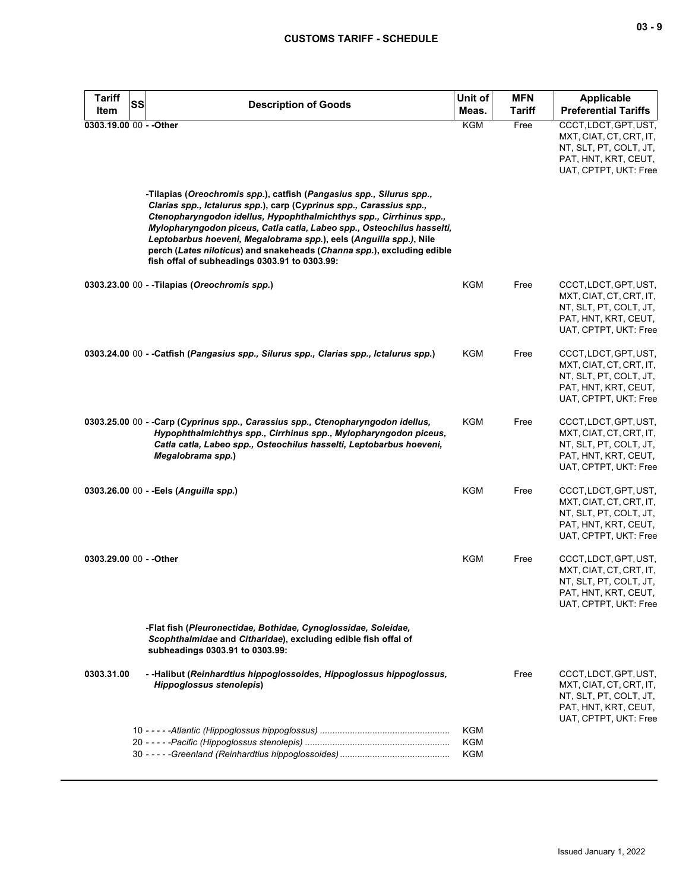| <b>Tariff</b><br><b>SS</b><br>Item | <b>Description of Goods</b>                                                                                                                                                                                                                                                                                                                                                                                                                                                                  | Unit of<br>Meas.                       | <b>MFN</b><br><b>Tariff</b> | <b>Applicable</b><br><b>Preferential Tariffs</b>                                                                            |
|------------------------------------|----------------------------------------------------------------------------------------------------------------------------------------------------------------------------------------------------------------------------------------------------------------------------------------------------------------------------------------------------------------------------------------------------------------------------------------------------------------------------------------------|----------------------------------------|-----------------------------|-----------------------------------------------------------------------------------------------------------------------------|
| 0303.19.00 00 - - Other            |                                                                                                                                                                                                                                                                                                                                                                                                                                                                                              | KGM                                    | Free                        | CCCT, LDCT, GPT, UST,<br>MXT, CIAT, CT, CRT, IT,<br>NT, SLT, PT, COLT, JT,<br>PAT, HNT, KRT, CEUT,<br>UAT, CPTPT, UKT: Free |
|                                    | -Tilapias (Oreochromis spp.), catfish (Pangasius spp., Silurus spp.,<br>Clarias spp., Ictalurus spp.), carp (Cyprinus spp., Carassius spp.,<br>Ctenopharyngodon idellus, Hypophthalmichthys spp., Cirrhinus spp.,<br>Mylopharyngodon piceus, Catla catla, Labeo spp., Osteochilus hasselti,<br>Leptobarbus hoeveni, Megalobrama spp.), eels (Anguilla spp.), Nile<br>perch (Lates niloticus) and snakeheads (Channa spp.), excluding edible<br>fish offal of subheadings 0303.91 to 0303.99: |                                        |                             |                                                                                                                             |
|                                    | 0303.23.00 00 - - Tilapias (Oreochromis spp.)                                                                                                                                                                                                                                                                                                                                                                                                                                                | KGM                                    | Free                        | CCCT, LDCT, GPT, UST,<br>MXT, CIAT, CT, CRT, IT,<br>NT, SLT, PT, COLT, JT,<br>PAT, HNT, KRT, CEUT,<br>UAT, CPTPT, UKT: Free |
|                                    | 0303.24.00 00 - -Catfish (Pangasius spp., Silurus spp., Clarias spp., Ictalurus spp.)                                                                                                                                                                                                                                                                                                                                                                                                        | KGM                                    | Free                        | CCCT, LDCT, GPT, UST,<br>MXT, CIAT, CT, CRT, IT,<br>NT, SLT, PT, COLT, JT,<br>PAT, HNT, KRT, CEUT,<br>UAT, CPTPT, UKT: Free |
|                                    | 0303.25.00 00 - -Carp (Cyprinus spp., Carassius spp., Ctenopharyngodon idellus,<br>Hypophthalmichthys spp., Cirrhinus spp., Mylopharyngodon piceus,<br>Catla catla, Labeo spp., Osteochilus hasselti, Leptobarbus hoeveni,<br>Megalobrama spp.)                                                                                                                                                                                                                                              | <b>KGM</b>                             | Free                        | CCCT, LDCT, GPT, UST,<br>MXT, CIAT, CT, CRT, IT,<br>NT, SLT, PT, COLT, JT,<br>PAT, HNT, KRT, CEUT,<br>UAT, CPTPT, UKT: Free |
|                                    | 0303.26.00 00 - - Eels (Anguilla spp.)                                                                                                                                                                                                                                                                                                                                                                                                                                                       | <b>KGM</b>                             | Free                        | CCCT, LDCT, GPT, UST,<br>MXT, CIAT, CT, CRT, IT,<br>NT, SLT, PT, COLT, JT,<br>PAT, HNT, KRT, CEUT,<br>UAT, CPTPT, UKT: Free |
| 0303.29.00 00 - - Other            |                                                                                                                                                                                                                                                                                                                                                                                                                                                                                              | <b>KGM</b>                             | Free                        | CCCT, LDCT, GPT, UST,<br>MXT, CIAT, CT, CRT, IT,<br>NT, SLT, PT, COLT, JT,<br>PAT, HNT, KRT, CEUT,<br>UAT, CPTPT, UKT: Free |
|                                    | -Flat fish (Pleuronectidae, Bothidae, Cynoglossidae, Soleidae,<br>Scophthalmidae and Citharidae), excluding edible fish offal of<br>subheadings 0303.91 to 0303.99:                                                                                                                                                                                                                                                                                                                          |                                        |                             |                                                                                                                             |
| 0303.31.00                         | - - Halibut (Reinhardtius hippoglossoides, Hippoglossus hippoglossus,<br><b>Hippoglossus stenolepis)</b>                                                                                                                                                                                                                                                                                                                                                                                     |                                        | Free                        | CCCT,LDCT,GPT,UST,<br>MXT, CIAT, CT, CRT, IT,<br>NT, SLT, PT, COLT, JT,<br>PAT, HNT, KRT, CEUT,<br>UAT, CPTPT, UKT: Free    |
|                                    |                                                                                                                                                                                                                                                                                                                                                                                                                                                                                              | <b>KGM</b><br><b>KGM</b><br><b>KGM</b> |                             |                                                                                                                             |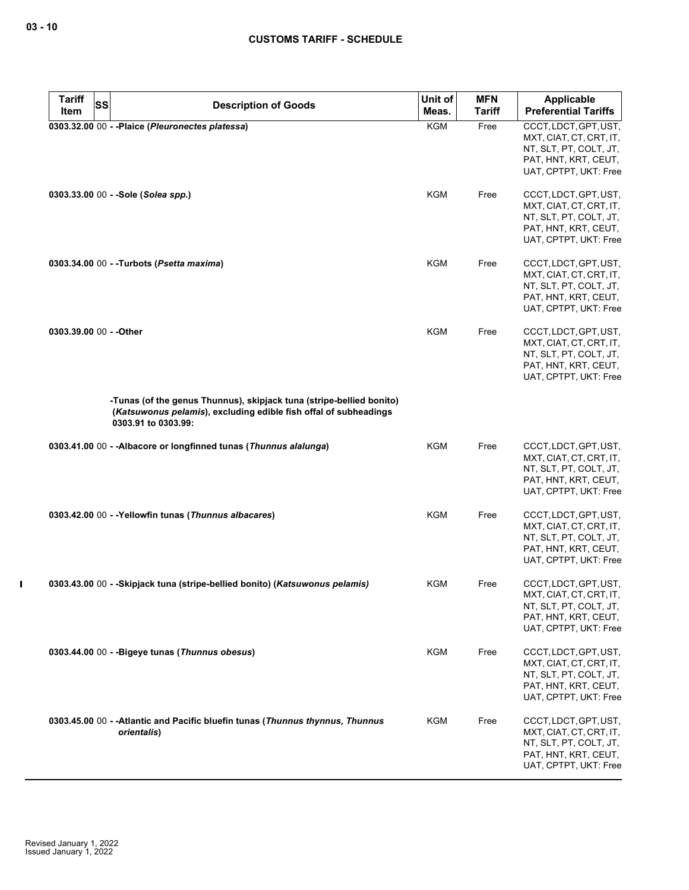| <b>Tariff</b><br>Item | <b>SS</b> | <b>Description of Goods</b>                                                                                                                                     | Unit of<br>Meas. | <b>MFN</b><br><b>Tariff</b> | <b>Applicable</b><br><b>Preferential Tariffs</b>                                                                            |
|-----------------------|-----------|-----------------------------------------------------------------------------------------------------------------------------------------------------------------|------------------|-----------------------------|-----------------------------------------------------------------------------------------------------------------------------|
|                       |           | 0303.32.00 00 - - Plaice (Pleuronectes platessa)                                                                                                                | KGM              | Free                        | CCCT, LDCT, GPT, UST,<br>MXT, CIAT, CT, CRT, IT,<br>NT, SLT, PT, COLT, JT,<br>PAT, HNT, KRT, CEUT,<br>UAT, CPTPT, UKT: Free |
|                       |           | 0303.33.00 00 - - Sole (Solea spp.)                                                                                                                             | KGM              | Free                        | CCCT, LDCT, GPT, UST,<br>MXT, CIAT, CT, CRT, IT,<br>NT, SLT, PT, COLT, JT,<br>PAT, HNT, KRT, CEUT,<br>UAT, CPTPT, UKT: Free |
|                       |           | 0303.34.00 00 - -Turbots (Psetta maxima)                                                                                                                        | <b>KGM</b>       | Free                        | CCCT, LDCT, GPT, UST,<br>MXT, CIAT, CT, CRT, IT,<br>NT, SLT, PT, COLT, JT,<br>PAT, HNT, KRT, CEUT,<br>UAT, CPTPT, UKT: Free |
|                       |           | 0303.39.00 00 - - Other                                                                                                                                         | <b>KGM</b>       | Free                        | CCCT, LDCT, GPT, UST,<br>MXT, CIAT, CT, CRT, IT,<br>NT, SLT, PT, COLT, JT,<br>PAT, HNT, KRT, CEUT,<br>UAT, CPTPT, UKT: Free |
|                       |           | -Tunas (of the genus Thunnus), skipjack tuna (stripe-bellied bonito)<br>(Katsuwonus pelamis), excluding edible fish offal of subheadings<br>0303.91 to 0303.99: |                  |                             |                                                                                                                             |
|                       |           | 0303.41.00 00 - - Albacore or longfinned tunas (Thunnus alalunga)                                                                                               | <b>KGM</b>       | Free                        | CCCT, LDCT, GPT, UST,<br>MXT, CIAT, CT, CRT, IT,<br>NT, SLT, PT, COLT, JT,<br>PAT, HNT, KRT, CEUT,<br>UAT, CPTPT, UKT: Free |
|                       |           | 0303.42.00 00 - -Yellowfin tunas (Thunnus albacares)                                                                                                            | KGM              | Free                        | CCCT, LDCT, GPT, UST,<br>MXT, CIAT, CT, CRT, IT,<br>NT, SLT, PT, COLT, JT,<br>PAT, HNT, KRT, CEUT,<br>UAT, CPTPT, UKT: Free |
|                       |           | 0303.43.00 00 - -Skipjack tuna (stripe-bellied bonito) (Katsuwonus pelamis)                                                                                     | KGM              | Free                        | CCCT, LDCT, GPT, UST,<br>MXT, CIAT, CT, CRT, IT,<br>NT, SLT, PT, COLT, JT,<br>PAT, HNT, KRT, CEUT,<br>UAT, CPTPT, UKT: Free |
|                       |           | 0303.44.00 00 - - Bigeye tunas (Thunnus obesus)                                                                                                                 | KGM              | Free                        | CCCT, LDCT, GPT, UST,<br>MXT, CIAT, CT, CRT, IT,<br>NT, SLT, PT, COLT, JT,<br>PAT, HNT, KRT, CEUT,<br>UAT, CPTPT, UKT: Free |
|                       |           | 0303.45.00 00 - - Atlantic and Pacific bluefin tunas (Thunnus thynnus, Thunnus<br>orientalis)                                                                   | KGM              | Free                        | CCCT, LDCT, GPT, UST,<br>MXT, CIAT, CT, CRT, IT,<br>NT, SLT, PT, COLT, JT,<br>PAT, HNT, KRT, CEUT,<br>UAT, CPTPT, UKT: Free |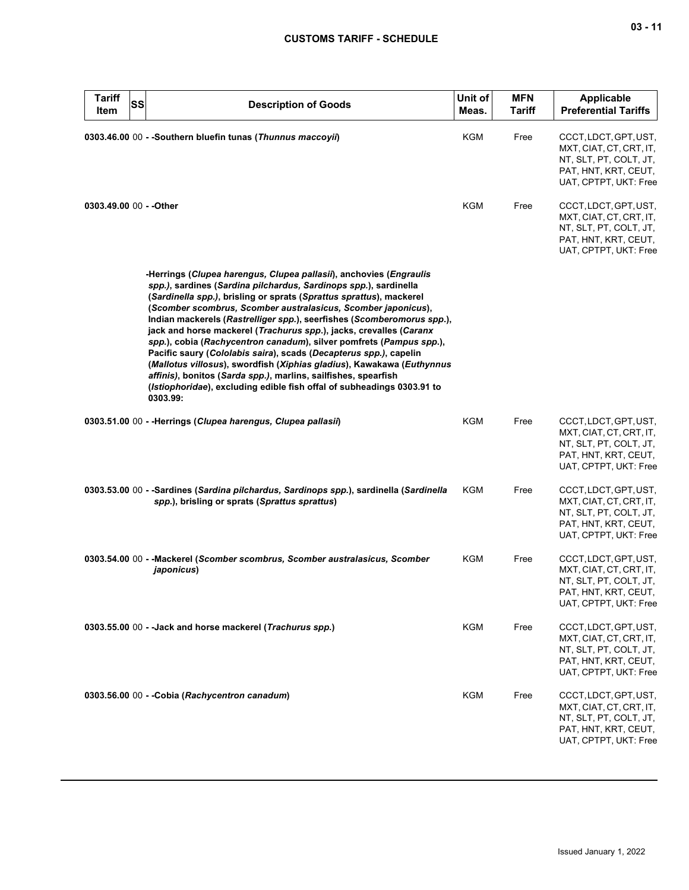| <b>Tariff</b><br>SS<br>Item | <b>Description of Goods</b>                                                                                                                                                                                                                                                                                                                                                                                                                                                                                                                                                                                                                                                                                                                                                                                 | Unit of<br>Meas. | <b>MFN</b><br><b>Tariff</b> | <b>Applicable</b><br><b>Preferential Tariffs</b>                                                                            |
|-----------------------------|-------------------------------------------------------------------------------------------------------------------------------------------------------------------------------------------------------------------------------------------------------------------------------------------------------------------------------------------------------------------------------------------------------------------------------------------------------------------------------------------------------------------------------------------------------------------------------------------------------------------------------------------------------------------------------------------------------------------------------------------------------------------------------------------------------------|------------------|-----------------------------|-----------------------------------------------------------------------------------------------------------------------------|
|                             | 0303.46.00 00 - - Southern bluefin tunas (Thunnus maccoyii)                                                                                                                                                                                                                                                                                                                                                                                                                                                                                                                                                                                                                                                                                                                                                 | KGM              | Free                        | CCCT, LDCT, GPT, UST,<br>MXT, CIAT, CT, CRT, IT,<br>NT, SLT, PT, COLT, JT,<br>PAT, HNT, KRT, CEUT,<br>UAT, CPTPT, UKT: Free |
| 0303.49.00 00 - - Other     |                                                                                                                                                                                                                                                                                                                                                                                                                                                                                                                                                                                                                                                                                                                                                                                                             | KGM              | Free                        | CCCT, LDCT, GPT, UST,<br>MXT, CIAT, CT, CRT, IT,<br>NT, SLT, PT, COLT, JT,<br>PAT, HNT, KRT, CEUT,<br>UAT, CPTPT, UKT: Free |
|                             | -Herrings (Clupea harengus, Clupea pallasii), anchovies (Engraulis<br>spp.), sardines (Sardina pilchardus, Sardinops spp.), sardinella<br>(Sardinella spp.), brisling or sprats (Sprattus sprattus), mackerel<br>(Scomber scombrus, Scomber australasicus, Scomber japonicus),<br>Indian mackerels (Rastrelliger spp.), seerfishes (Scomberomorus spp.),<br>jack and horse mackerel (Trachurus spp.), jacks, crevalles (Caranx<br>spp.), cobia (Rachycentron canadum), silver pomfrets (Pampus spp.),<br>Pacific saury (Cololabis saira), scads (Decapterus spp.), capelin<br>(Mallotus villosus), swordfish (Xiphias gladius), Kawakawa (Euthynnus<br>affinis), bonitos (Sarda spp.), marlins, sailfishes, spearfish<br>(Istiophoridae), excluding edible fish offal of subheadings 0303.91 to<br>0303.99: |                  |                             |                                                                                                                             |
|                             | 0303.51.00 00 - -Herrings (Clupea harengus, Clupea pallasii)                                                                                                                                                                                                                                                                                                                                                                                                                                                                                                                                                                                                                                                                                                                                                | <b>KGM</b>       | Free                        | CCCT, LDCT, GPT, UST,<br>MXT, CIAT, CT, CRT, IT,<br>NT, SLT, PT, COLT, JT,<br>PAT, HNT, KRT, CEUT,<br>UAT, CPTPT, UKT: Free |
|                             | 0303.53.00 00 - -Sardines (Sardina pilchardus, Sardinops spp.), sardinella (Sardinella<br>spp.), brisling or sprats (Sprattus sprattus)                                                                                                                                                                                                                                                                                                                                                                                                                                                                                                                                                                                                                                                                     | KGM              | Free                        | CCCT, LDCT, GPT, UST,<br>MXT, CIAT, CT, CRT, IT,<br>NT, SLT, PT, COLT, JT,<br>PAT, HNT, KRT, CEUT,<br>UAT, CPTPT, UKT: Free |
|                             | 0303.54.00 00 - - Mackerel (Scomber scombrus, Scomber australasicus, Scomber<br>japonicus)                                                                                                                                                                                                                                                                                                                                                                                                                                                                                                                                                                                                                                                                                                                  | KGM              | Free                        | CCCT, LDCT, GPT, UST,<br>MXT, CIAT, CT, CRT, IT,<br>NT, SLT, PT, COLT, JT,<br>PAT, HNT, KRT, CEUT,<br>UAT, CPTPT, UKT: Free |
|                             | 0303.55.00 00 - - Jack and horse mackerel (Trachurus spp.)                                                                                                                                                                                                                                                                                                                                                                                                                                                                                                                                                                                                                                                                                                                                                  | KGM              | Free                        | CCCT, LDCT, GPT, UST,<br>MXT, CIAT, CT, CRT, IT,<br>NT, SLT, PT, COLT, JT,<br>PAT, HNT, KRT, CEUT,<br>UAT, CPTPT, UKT: Free |
|                             | 0303.56.00 00 - - Cobia (Rachycentron canadum)                                                                                                                                                                                                                                                                                                                                                                                                                                                                                                                                                                                                                                                                                                                                                              | KGM              | Free                        | CCCT, LDCT, GPT, UST,<br>MXT, CIAT, CT, CRT, IT,<br>NT, SLT, PT, COLT, JT,<br>PAT, HNT, KRT, CEUT,<br>UAT, CPTPT, UKT: Free |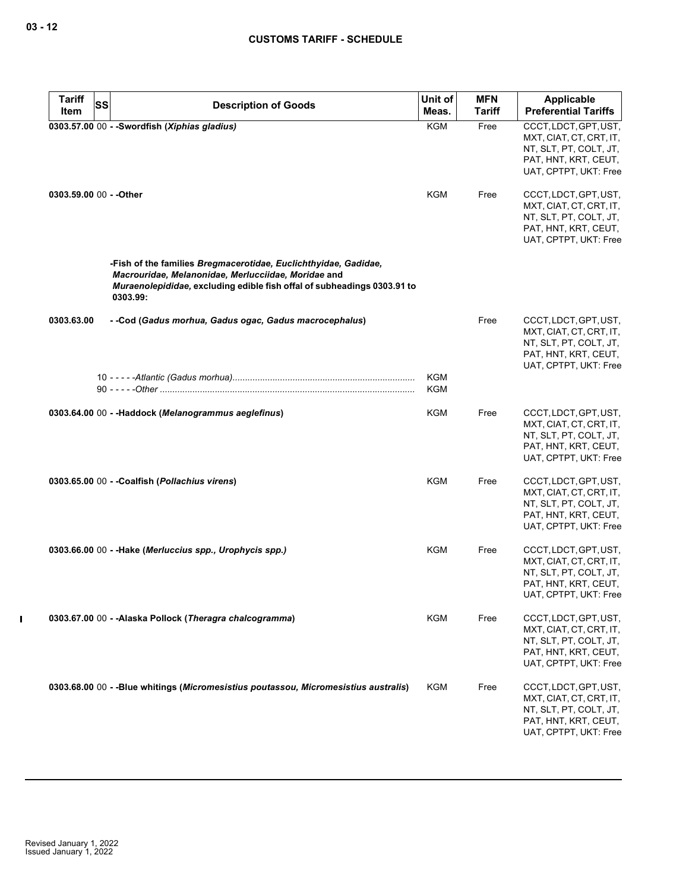| <b>Tariff</b><br><b>SS</b> | <b>Description of Goods</b>                                                                                                                                                                                   | Unit of           | <b>MFN</b>    | Applicable                                                                                                                  |
|----------------------------|---------------------------------------------------------------------------------------------------------------------------------------------------------------------------------------------------------------|-------------------|---------------|-----------------------------------------------------------------------------------------------------------------------------|
| Item                       |                                                                                                                                                                                                               | Meas.             | <b>Tariff</b> | <b>Preferential Tariffs</b>                                                                                                 |
|                            | 0303.57.00 00 - - Swordfish (Xiphias gladius)                                                                                                                                                                 | <b>KGM</b>        | Free          | CCCT, LDCT, GPT, UST,<br>MXT, CIAT, CT, CRT, IT,<br>NT, SLT, PT, COLT, JT,<br>PAT, HNT, KRT, CEUT,<br>UAT, CPTPT, UKT: Free |
| 0303.59.00 00 - - Other    |                                                                                                                                                                                                               | KGM               | Free          | CCCT, LDCT, GPT, UST,<br>MXT, CIAT, CT, CRT, IT,<br>NT, SLT, PT, COLT, JT,<br>PAT, HNT, KRT, CEUT,<br>UAT, CPTPT, UKT: Free |
|                            | -Fish of the families Bregmacerotidae, Euclichthyidae, Gadidae,<br>Macrouridae, Melanonidae, Merlucciidae, Moridae and<br>Muraenolepididae, excluding edible fish offal of subheadings 0303.91 to<br>0303.99: |                   |               |                                                                                                                             |
| 0303.63.00                 | - -Cod (Gadus morhua, Gadus ogac, Gadus macrocephalus)                                                                                                                                                        |                   | Free          | CCCT, LDCT, GPT, UST,<br>MXT, CIAT, CT, CRT, IT,<br>NT, SLT, PT, COLT, JT,<br>PAT, HNT, KRT, CEUT,<br>UAT, CPTPT, UKT: Free |
|                            |                                                                                                                                                                                                               | <b>KGM</b><br>KGM |               |                                                                                                                             |
|                            | 0303.64.00 00 - - Haddock (Melanogrammus aeglefinus)                                                                                                                                                          | KGM               | Free          | CCCT, LDCT, GPT, UST,<br>MXT, CIAT, CT, CRT, IT,<br>NT, SLT, PT, COLT, JT,<br>PAT, HNT, KRT, CEUT,<br>UAT, CPTPT, UKT: Free |
|                            | 0303.65.00 00 - - Coalfish (Pollachius virens)                                                                                                                                                                | KGM               | Free          | CCCT, LDCT, GPT, UST,<br>MXT, CIAT, CT, CRT, IT,<br>NT, SLT, PT, COLT, JT,<br>PAT, HNT, KRT, CEUT,<br>UAT, CPTPT, UKT: Free |
|                            | 0303.66.00 00 - - Hake (Merluccius spp., Urophycis spp.)                                                                                                                                                      | KGM               | Free          | CCCT, LDCT, GPT, UST,<br>MXT, CIAT, CT, CRT, IT,<br>NT, SLT, PT, COLT, JT,<br>PAT, HNT, KRT, CEUT,<br>UAT, CPTPT, UKT: Free |
|                            | 0303.67.00 00 - - Alaska Pollock (Theragra chalcogramma)                                                                                                                                                      | <b>KGM</b>        | Free          | CCCT, LDCT, GPT, UST,<br>MXT, CIAT, CT, CRT, IT,<br>NT, SLT, PT, COLT, JT,<br>PAT, HNT, KRT, CEUT,<br>UAT, CPTPT, UKT: Free |
|                            | 0303.68.00 00 - -Blue whitings (Micromesistius poutassou, Micromesistius australis)                                                                                                                           | <b>KGM</b>        | Free          | CCCT, LDCT, GPT, UST,<br>MXT, CIAT, CT, CRT, IT,<br>NT, SLT, PT, COLT, JT,<br>PAT, HNT, KRT, CEUT,<br>UAT, CPTPT, UKT: Free |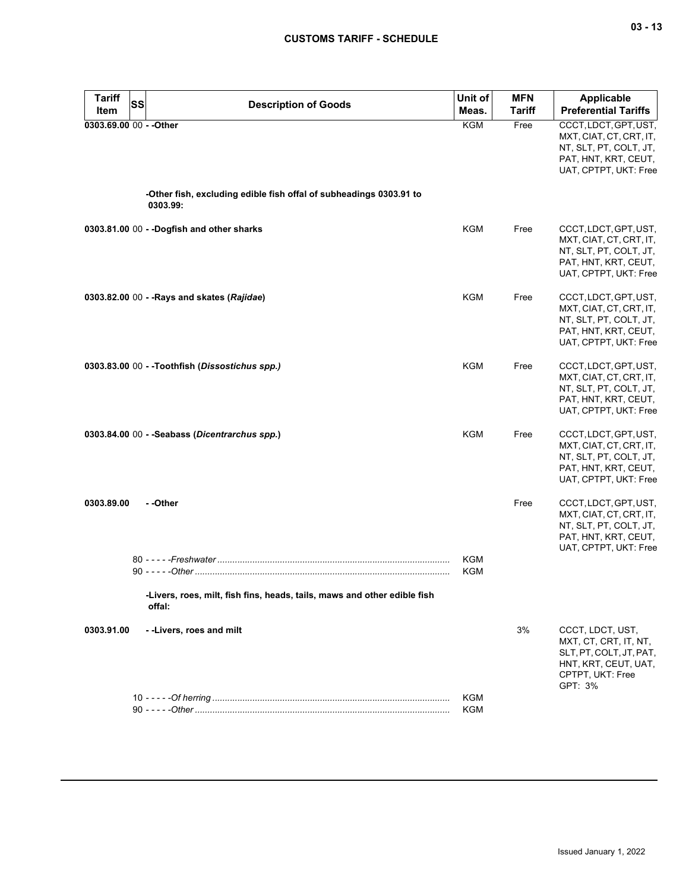| <b>Tariff</b><br>SS<br>Item | <b>Description of Goods</b>                                                        | Unit of<br>Meas.  | <b>MFN</b><br><b>Tariff</b> | <b>Applicable</b><br><b>Preferential Tariffs</b>                                                                            |
|-----------------------------|------------------------------------------------------------------------------------|-------------------|-----------------------------|-----------------------------------------------------------------------------------------------------------------------------|
| 0303.69.00 00 - - Other     |                                                                                    | <b>KGM</b>        | Free                        | CCCT, LDCT, GPT, UST,<br>MXT, CIAT, CT, CRT, IT,<br>NT, SLT, PT, COLT, JT,<br>PAT, HNT, KRT, CEUT,<br>UAT, CPTPT, UKT: Free |
|                             | -Other fish, excluding edible fish offal of subheadings 0303.91 to<br>0303.99:     |                   |                             |                                                                                                                             |
|                             | 0303.81.00 00 - - Dogfish and other sharks                                         | <b>KGM</b>        | Free                        | CCCT, LDCT, GPT, UST,<br>MXT, CIAT, CT, CRT, IT,<br>NT, SLT, PT, COLT, JT,<br>PAT, HNT, KRT, CEUT,<br>UAT, CPTPT, UKT: Free |
|                             | 0303.82.00 00 - - Rays and skates (Rajidae)                                        | KGM               | Free                        | CCCT, LDCT, GPT, UST,<br>MXT, CIAT, CT, CRT, IT,<br>NT, SLT, PT, COLT, JT,<br>PAT, HNT, KRT, CEUT,<br>UAT, CPTPT, UKT: Free |
|                             | 0303.83.00 00 - -Toothfish (Dissostichus spp.)                                     | KGM               | Free                        | CCCT, LDCT, GPT, UST,<br>MXT, CIAT, CT, CRT, IT,<br>NT, SLT, PT, COLT, JT,<br>PAT, HNT, KRT, CEUT,<br>UAT, CPTPT, UKT: Free |
|                             | 0303.84.00 00 - - Seabass (Dicentrarchus spp.)                                     | <b>KGM</b>        | Free                        | CCCT, LDCT, GPT, UST,<br>MXT, CIAT, CT, CRT, IT,<br>NT, SLT, PT, COLT, JT,<br>PAT, HNT, KRT, CEUT,<br>UAT, CPTPT, UKT: Free |
| 0303.89.00                  | - -Other                                                                           |                   | Free                        | CCCT, LDCT, GPT, UST,<br>MXT, CIAT, CT, CRT, IT,<br>NT, SLT, PT, COLT, JT,<br>PAT, HNT, KRT, CEUT,<br>UAT, CPTPT, UKT: Free |
|                             |                                                                                    | KGM<br><b>KGM</b> |                             |                                                                                                                             |
|                             | -Livers, roes, milt, fish fins, heads, tails, maws and other edible fish<br>offal: |                   |                             |                                                                                                                             |
| 0303.91.00                  | --Livers, roes and milt                                                            |                   | 3%                          | CCCT, LDCT, UST,<br>MXT, CT, CRT, IT, NT,<br>SLT, PT, COLT, JT, PAT,<br>HNT, KRT, CEUT, UAT,<br>CPTPT, UKT: Free<br>GPT: 3% |
|                             |                                                                                    | KGM<br>KGM        |                             |                                                                                                                             |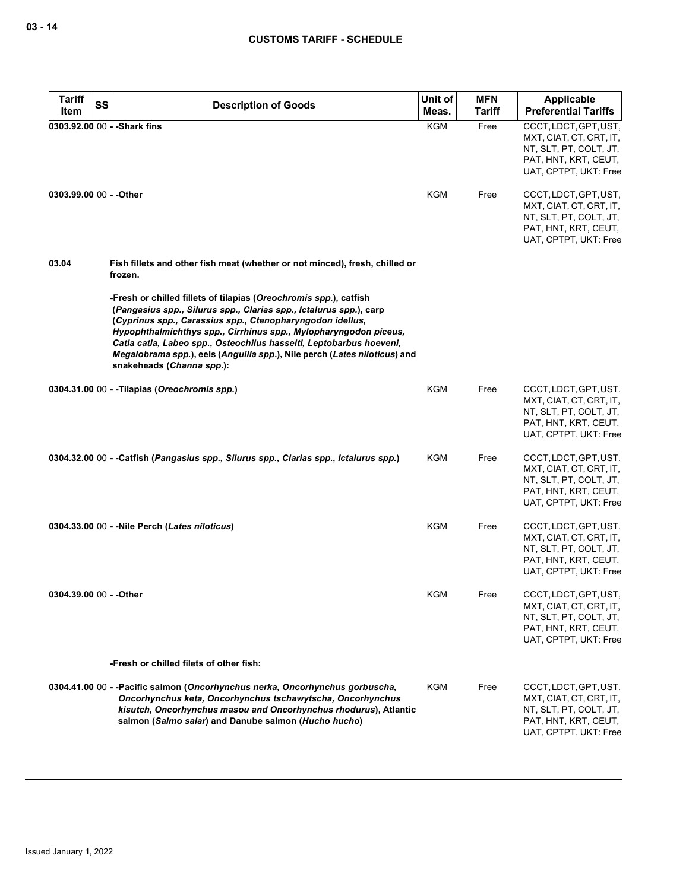| <b>Tariff</b><br>Item   | <b>SS</b> | <b>Description of Goods</b>                                                                                                                                                                                                                                                                                                                                                                                                                               | Unit of<br>Meas. | <b>MFN</b><br><b>Tariff</b> | Applicable<br><b>Preferential Tariffs</b>                                                                                   |
|-------------------------|-----------|-----------------------------------------------------------------------------------------------------------------------------------------------------------------------------------------------------------------------------------------------------------------------------------------------------------------------------------------------------------------------------------------------------------------------------------------------------------|------------------|-----------------------------|-----------------------------------------------------------------------------------------------------------------------------|
|                         |           | 0303.92.00 00 - - Shark fins                                                                                                                                                                                                                                                                                                                                                                                                                              | KGM              | Free                        | CCCT, LDCT, GPT, UST,<br>MXT, CIAT, CT, CRT, IT,<br>NT, SLT, PT, COLT, JT,<br>PAT, HNT, KRT, CEUT,<br>UAT, CPTPT, UKT: Free |
| 0303.99.00 00 - - Other |           |                                                                                                                                                                                                                                                                                                                                                                                                                                                           | KGM              | Free                        | CCCT, LDCT, GPT, UST,<br>MXT, CIAT, CT, CRT, IT,<br>NT, SLT, PT, COLT, JT,<br>PAT, HNT, KRT, CEUT,<br>UAT, CPTPT, UKT: Free |
| 03.04                   |           | Fish fillets and other fish meat (whether or not minced), fresh, chilled or<br>frozen.                                                                                                                                                                                                                                                                                                                                                                    |                  |                             |                                                                                                                             |
|                         |           | -Fresh or chilled fillets of tilapias (Oreochromis spp.), catfish<br>(Pangasius spp., Silurus spp., Clarias spp., Ictalurus spp.), carp<br>(Cyprinus spp., Carassius spp., Ctenopharyngodon idellus,<br>Hypophthalmichthys spp., Cirrhinus spp., Mylopharyngodon piceus,<br>Catla catla, Labeo spp., Osteochilus hasselti, Leptobarbus hoeveni,<br>Megalobrama spp.), eels (Anguilla spp.), Nile perch (Lates niloticus) and<br>snakeheads (Channa spp.): |                  |                             |                                                                                                                             |
|                         |           | 0304.31.00 00 - -Tilapias (Oreochromis spp.)                                                                                                                                                                                                                                                                                                                                                                                                              | KGM              | Free                        | CCCT, LDCT, GPT, UST,<br>MXT, CIAT, CT, CRT, IT,<br>NT, SLT, PT, COLT, JT,<br>PAT, HNT, KRT, CEUT,<br>UAT, CPTPT, UKT: Free |
|                         |           | 0304.32.00 00 - - Catfish (Pangasius spp., Silurus spp., Clarias spp., Ictalurus spp.)                                                                                                                                                                                                                                                                                                                                                                    | KGM              | Free                        | CCCT, LDCT, GPT, UST,<br>MXT, CIAT, CT, CRT, IT,<br>NT, SLT, PT, COLT, JT,<br>PAT, HNT, KRT, CEUT,<br>UAT, CPTPT, UKT: Free |
|                         |           | 0304.33.00 00 - - Nile Perch (Lates niloticus)                                                                                                                                                                                                                                                                                                                                                                                                            | KGM              | Free                        | CCCT, LDCT, GPT, UST,<br>MXT, CIAT, CT, CRT, IT,<br>NT, SLT, PT, COLT, JT,<br>PAT, HNT, KRT, CEUT,<br>UAT, CPTPT, UKT: Free |
| 0304.39.00 00 - - Other |           |                                                                                                                                                                                                                                                                                                                                                                                                                                                           | <b>KGM</b>       | Free                        | CCCT, LDCT, GPT, UST,<br>MXT, CIAT, CT, CRT, IT,<br>NT, SLT, PT, COLT, JT,<br>PAT, HNT, KRT, CEUT,<br>UAT, CPTPT, UKT: Free |
|                         |           | -Fresh or chilled filets of other fish:                                                                                                                                                                                                                                                                                                                                                                                                                   |                  |                             |                                                                                                                             |
|                         |           | 0304.41.00 00 - - Pacific salmon (Oncorhynchus nerka, Oncorhynchus gorbuscha,<br>Oncorhynchus keta, Oncorhynchus tschawytscha, Oncorhynchus<br>kisutch, Oncorhynchus masou and Oncorhynchus rhodurus), Atlantic<br>salmon (Salmo salar) and Danube salmon (Hucho hucho)                                                                                                                                                                                   | KGM              | Free                        | CCCT, LDCT, GPT, UST,<br>MXT, CIAT, CT, CRT, IT,<br>NT, SLT, PT, COLT, JT,<br>PAT, HNT, KRT, CEUT,<br>UAT, CPTPT, UKT: Free |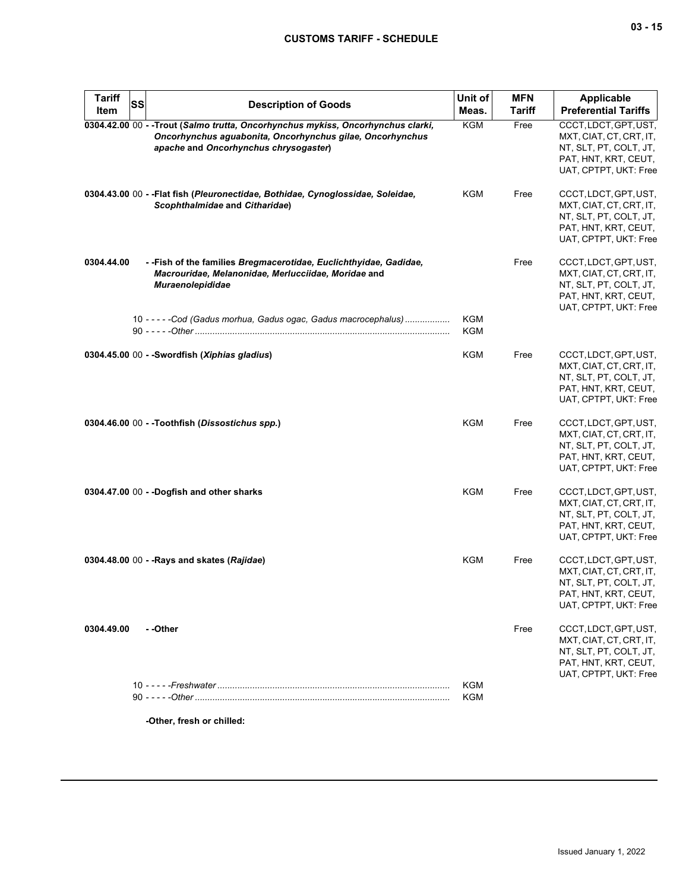| <b>Tariff</b><br>Item | SS | <b>Description of Goods</b>                                                                                                                                                            | Unit of<br>Meas.         | <b>MFN</b><br><b>Tariff</b> | <b>Applicable</b><br><b>Preferential Tariffs</b>                                                                            |
|-----------------------|----|----------------------------------------------------------------------------------------------------------------------------------------------------------------------------------------|--------------------------|-----------------------------|-----------------------------------------------------------------------------------------------------------------------------|
|                       |    | 0304.42.00 00 - - Trout (Salmo trutta, Oncorhynchus mykiss, Oncorhynchus clarki,<br>Oncorhynchus aguabonita, Oncorhynchus gilae, Oncorhynchus<br>apache and Oncorhynchus chrysogaster) | <b>KGM</b>               | Free                        | CCCT, LDCT, GPT, UST,<br>MXT, CIAT, CT, CRT, IT,<br>NT, SLT, PT, COLT, JT,<br>PAT, HNT, KRT, CEUT,<br>UAT, CPTPT, UKT: Free |
|                       |    | 0304.43.00 00 - - Flat fish (Pleuronectidae, Bothidae, Cynoglossidae, Soleidae,<br>Scophthalmidae and Citharidae)                                                                      | KGM                      | Free                        | CCCT, LDCT, GPT, UST,<br>MXT, CIAT, CT, CRT, IT,<br>NT, SLT, PT, COLT, JT,<br>PAT, HNT, KRT, CEUT,<br>UAT, CPTPT, UKT: Free |
| 0304.44.00            |    | - - Fish of the families Bregmacerotidae, Euclichthyidae, Gadidae,<br>Macrouridae, Melanonidae, Merlucciidae, Moridae and<br>Muraenolepididae                                          |                          | Free                        | CCCT, LDCT, GPT, UST,<br>MXT, CIAT, CT, CRT, IT,<br>NT, SLT, PT, COLT, JT,<br>PAT, HNT, KRT, CEUT,<br>UAT, CPTPT, UKT: Free |
|                       |    | 10 - - - - - Cod (Gadus morhua, Gadus ogac, Gadus macrocephalus)                                                                                                                       | KGM<br><b>KGM</b>        |                             |                                                                                                                             |
|                       |    | 0304.45.00 00 - - Swordfish (Xiphias gladius)                                                                                                                                          | KGM                      | Free                        | CCCT, LDCT, GPT, UST,<br>MXT, CIAT, CT, CRT, IT,<br>NT, SLT, PT, COLT, JT,<br>PAT, HNT, KRT, CEUT,<br>UAT, CPTPT, UKT: Free |
|                       |    | 0304.46.00 00 - -Toothfish (Dissostichus spp.)                                                                                                                                         | <b>KGM</b>               | Free                        | CCCT, LDCT, GPT, UST,<br>MXT, CIAT, CT, CRT, IT,<br>NT, SLT, PT, COLT, JT,<br>PAT, HNT, KRT, CEUT,<br>UAT, CPTPT, UKT: Free |
|                       |    | 0304.47.00 00 - -Dogfish and other sharks                                                                                                                                              | <b>KGM</b>               | Free                        | CCCT, LDCT, GPT, UST,<br>MXT, CIAT, CT, CRT, IT,<br>NT, SLT, PT, COLT, JT,<br>PAT, HNT, KRT, CEUT,<br>UAT, CPTPT, UKT: Free |
|                       |    | 0304.48.00 00 - - Rays and skates (Rajidae)                                                                                                                                            | <b>KGM</b>               | Free                        | CCCT, LDCT, GPT, UST,<br>MXT, CIAT, CT, CRT, IT,<br>NT, SLT, PT, COLT, JT,<br>PAT, HNT, KRT, CEUT,<br>UAT, CPTPT, UKT: Free |
| 0304.49.00            |    | - -Other                                                                                                                                                                               |                          | Free                        | CCCT, LDCT, GPT, UST,<br>MXT, CIAT, CT, CRT, IT,<br>NT, SLT, PT, COLT, JT,<br>PAT, HNT, KRT, CEUT,<br>UAT, CPTPT, UKT: Free |
|                       |    |                                                                                                                                                                                        | <b>KGM</b><br><b>KGM</b> |                             |                                                                                                                             |
|                       |    | -Other, fresh or chilled:                                                                                                                                                              |                          |                             |                                                                                                                             |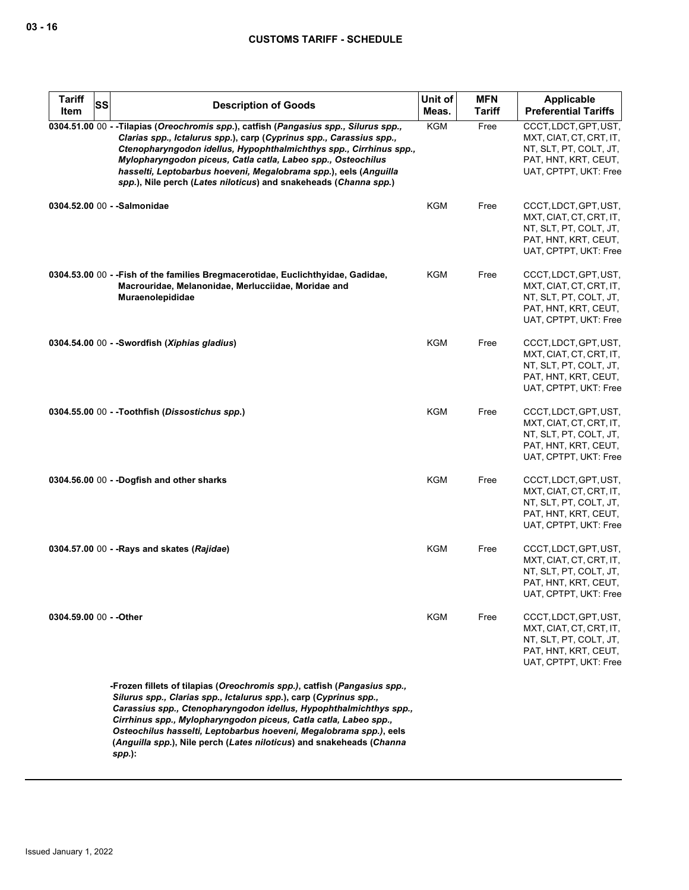| <b>Tariff</b><br>SS<br><b>Item</b> | <b>Description of Goods</b>                                                                                                                                                                                                                                                                                                                                                                                                                     | Unit of<br>Meas. | <b>MFN</b><br><b>Tariff</b> | <b>Applicable</b><br><b>Preferential Tariffs</b>                                                                            |
|------------------------------------|-------------------------------------------------------------------------------------------------------------------------------------------------------------------------------------------------------------------------------------------------------------------------------------------------------------------------------------------------------------------------------------------------------------------------------------------------|------------------|-----------------------------|-----------------------------------------------------------------------------------------------------------------------------|
|                                    | 0304.51.00 00 - -Tilapias (Oreochromis spp.), catfish (Pangasius spp., Silurus spp.,<br>Clarias spp., Ictalurus spp.), carp (Cyprinus spp., Carassius spp.,<br>Ctenopharyngodon idellus, Hypophthalmichthys spp., Cirrhinus spp.,<br>Mylopharyngodon piceus, Catla catla, Labeo spp., Osteochilus<br>hasselti, Leptobarbus hoeveni, Megalobrama spp.), eels (Anguilla<br>spp.), Nile perch (Lates niloticus) and snakeheads (Channa spp.)       | KGM              | Free                        | CCCT, LDCT, GPT, UST,<br>MXT, CIAT, CT, CRT, IT,<br>NT, SLT, PT, COLT, JT,<br>PAT, HNT, KRT, CEUT,<br>UAT, CPTPT, UKT: Free |
|                                    | 0304.52.00 00 - - Salmonidae                                                                                                                                                                                                                                                                                                                                                                                                                    | <b>KGM</b>       | Free                        | CCCT, LDCT, GPT, UST,<br>MXT, CIAT, CT, CRT, IT,<br>NT, SLT, PT, COLT, JT,<br>PAT, HNT, KRT, CEUT,<br>UAT, CPTPT, UKT: Free |
|                                    | 0304.53.00 00 - - Fish of the families Bregmacerotidae, Euclichthyidae, Gadidae,<br>Macrouridae, Melanonidae, Merlucciidae, Moridae and<br>Muraenolepididae                                                                                                                                                                                                                                                                                     | KGM              | Free                        | CCCT, LDCT, GPT, UST,<br>MXT, CIAT, CT, CRT, IT,<br>NT, SLT, PT, COLT, JT,<br>PAT, HNT, KRT, CEUT,<br>UAT, CPTPT, UKT: Free |
|                                    | 0304.54.00 $00 -$ Swordfish ( <i>Xiphias gladius</i> )                                                                                                                                                                                                                                                                                                                                                                                          | <b>KGM</b>       | Free                        | CCCT, LDCT, GPT, UST,<br>MXT, CIAT, CT, CRT, IT,<br>NT, SLT, PT, COLT, JT,<br>PAT, HNT, KRT, CEUT,<br>UAT, CPTPT, UKT: Free |
|                                    | 0304.55.00 00 - - Toothfish (Dissostichus spp.)                                                                                                                                                                                                                                                                                                                                                                                                 | <b>KGM</b>       | Free                        | CCCT, LDCT, GPT, UST,<br>MXT, CIAT, CT, CRT, IT,<br>NT, SLT, PT, COLT, JT,<br>PAT, HNT, KRT, CEUT,<br>UAT, CPTPT, UKT: Free |
|                                    | 0304.56.00 00 - -Dogfish and other sharks                                                                                                                                                                                                                                                                                                                                                                                                       | <b>KGM</b>       | Free                        | CCCT, LDCT, GPT, UST,<br>MXT, CIAT, CT, CRT, IT,<br>NT, SLT, PT, COLT, JT,<br>PAT, HNT, KRT, CEUT,<br>UAT, CPTPT, UKT: Free |
|                                    | 0304.57.00 00 - - Rays and skates (Rajidae)                                                                                                                                                                                                                                                                                                                                                                                                     | <b>KGM</b>       | Free                        | CCCT, LDCT, GPT, UST,<br>MXT, CIAT, CT, CRT, IT,<br>NT, SLT, PT, COLT, JT,<br>PAT, HNT, KRT, CEUT,<br>UAT, CPTPT, UKT: Free |
| 0304.59.00 00 - - Other            |                                                                                                                                                                                                                                                                                                                                                                                                                                                 | KGM              | Free                        | CCCT, LDCT, GPT, UST,<br>MXT, CIAT, CT, CRT, IT,<br>NT, SLT, PT, COLT, JT,<br>PAT, HNT, KRT, CEUT,<br>UAT, CPTPT, UKT: Free |
|                                    | -Frozen fillets of tilapias (Oreochromis spp.), catfish (Pangasius spp.,<br>Silurus spp., Clarias spp., Ictalurus spp.), carp (Cyprinus spp.,<br>Carassius spp., Ctenopharyngodon idellus, Hypophthalmichthys spp.,<br>Cirrhinus spp., Mylopharyngodon piceus, Catla catla, Labeo spp.,<br>Osteochilus hasselti, Leptobarbus hoeveni, Megalobrama spp.), eels<br>(Anguilla spp.), Nile perch (Lates niloticus) and snakeheads (Channa<br>spp.): |                  |                             |                                                                                                                             |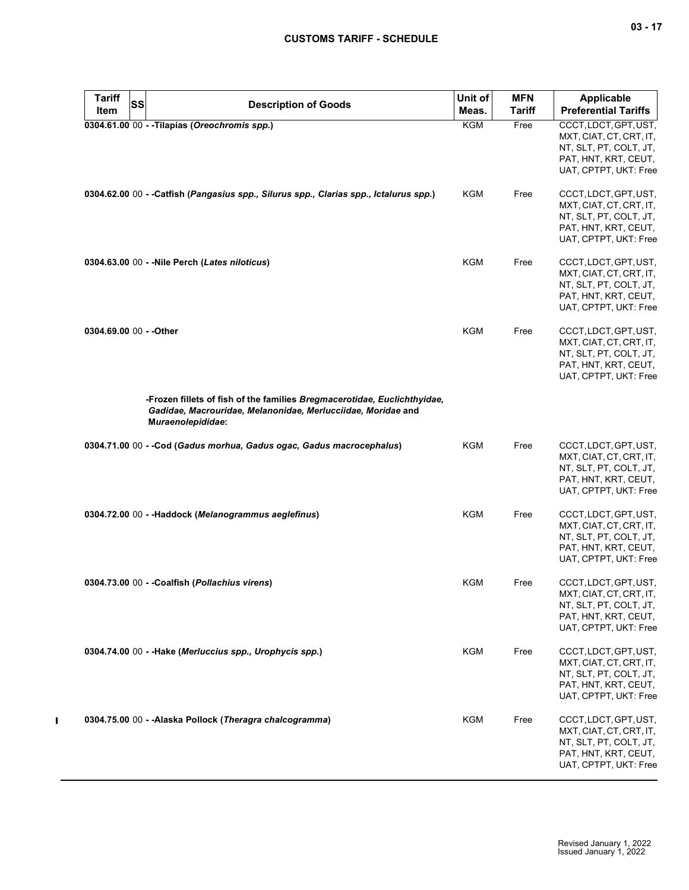| <b>Tariff</b><br>SS<br>Item | <b>Description of Goods</b>                                                                                                                                   | Unit of<br>Meas. | <b>MFN</b><br>Tariff | Applicable<br><b>Preferential Tariffs</b>                                                                                   |
|-----------------------------|---------------------------------------------------------------------------------------------------------------------------------------------------------------|------------------|----------------------|-----------------------------------------------------------------------------------------------------------------------------|
|                             | 0304.61.00 00 - - Tilapias (Oreochromis spp.)                                                                                                                 | <b>KGM</b>       | Free                 | CCCT, LDCT, GPT, UST,<br>MXT, CIAT, CT, CRT, IT,<br>NT, SLT, PT, COLT, JT,<br>PAT, HNT, KRT, CEUT,<br>UAT, CPTPT, UKT: Free |
|                             | 0304.62.00 00 - - Catfish (Pangasius spp., Silurus spp., Clarias spp., Ictalurus spp.)                                                                        | KGM              | Free                 | CCCT, LDCT, GPT, UST,<br>MXT, CIAT, CT, CRT, IT,<br>NT, SLT, PT, COLT, JT,<br>PAT, HNT, KRT, CEUT,<br>UAT, CPTPT, UKT: Free |
|                             | 0304.63.00 00 - - Nile Perch (Lates niloticus)                                                                                                                | KGM              | Free                 | CCCT, LDCT, GPT, UST,<br>MXT, CIAT, CT, CRT, IT,<br>NT, SLT, PT, COLT, JT,<br>PAT, HNT, KRT, CEUT,<br>UAT, CPTPT, UKT: Free |
| 0304.69.00 00 - - Other     |                                                                                                                                                               | <b>KGM</b>       | Free                 | CCCT, LDCT, GPT, UST,<br>MXT, CIAT, CT, CRT, IT,<br>NT, SLT, PT, COLT, JT,<br>PAT, HNT, KRT, CEUT,<br>UAT, CPTPT, UKT: Free |
|                             | -Frozen fillets of fish of the families Bregmacerotidae, Euclichthyidae,<br>Gadidae, Macrouridae, Melanonidae, Merlucciidae, Moridae and<br>Muraenolepididae: |                  |                      |                                                                                                                             |
|                             | 0304.71.00 00 - - Cod (Gadus morhua, Gadus ogac, Gadus macrocephalus)                                                                                         | KGM              | Free                 | CCCT, LDCT, GPT, UST,<br>MXT, CIAT, CT, CRT, IT,<br>NT, SLT, PT, COLT, JT,<br>PAT, HNT, KRT, CEUT,<br>UAT, CPTPT, UKT: Free |
|                             | 0304.72.00 00 - - Haddock (Melanogrammus aeglefinus)                                                                                                          | KGM              | Free                 | CCCT, LDCT, GPT, UST,<br>MXT, CIAT, CT, CRT, IT,<br>NT, SLT, PT, COLT, JT,<br>PAT, HNT, KRT, CEUT,<br>UAT, CPTPT, UKT: Free |
|                             | 0304.73.00 00 - - Coalfish (Pollachius virens)                                                                                                                | KGM              | Free                 | CCCT, LDCT, GPT, UST,<br>MXT, CIAT, CT, CRT, IT,<br>NT, SLT, PT, COLT, JT,<br>PAT, HNT, KRT, CEUT,<br>UAT, CPTPT, UKT: Free |
|                             | 0304.74.00 00 - - Hake (Merluccius spp., Urophycis spp.)                                                                                                      | KGM              | Free                 | CCCT, LDCT, GPT, UST,<br>MXT, CIAT, CT, CRT, IT,<br>NT, SLT, PT, COLT, JT,<br>PAT, HNT, KRT, CEUT,<br>UAT, CPTPT, UKT: Free |
|                             | 0304.75.00 00 - - Alaska Pollock (Theragra chalcogramma)                                                                                                      | KGM              | Free                 | CCCT, LDCT, GPT, UST,<br>MXT, CIAT, CT, CRT, IT,<br>NT, SLT, PT, COLT, JT,<br>PAT, HNT, KRT, CEUT,<br>UAT, CPTPT, UKT: Free |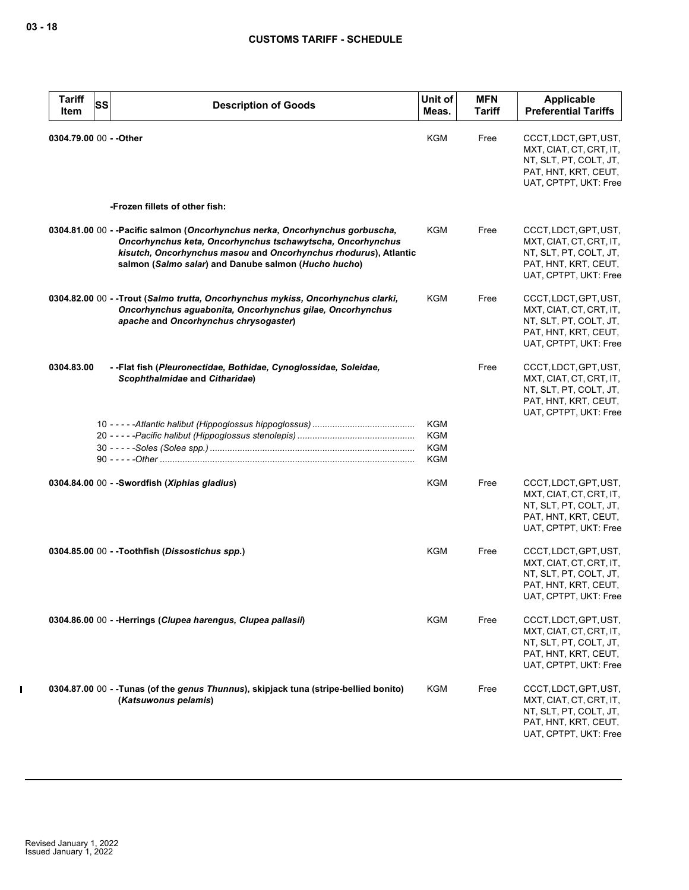| <b>Tariff</b><br>Item   | <b>SS</b> | <b>Description of Goods</b>                                                                                                                                                                                                                                             | Unit of<br>Meas.                              | <b>MFN</b><br><b>Tariff</b> | <b>Applicable</b><br><b>Preferential Tariffs</b>                                                                            |
|-------------------------|-----------|-------------------------------------------------------------------------------------------------------------------------------------------------------------------------------------------------------------------------------------------------------------------------|-----------------------------------------------|-----------------------------|-----------------------------------------------------------------------------------------------------------------------------|
| 0304.79.00 00 - - Other |           |                                                                                                                                                                                                                                                                         | KGM                                           | Free                        | CCCT, LDCT, GPT, UST,<br>MXT, CIAT, CT, CRT, IT,<br>NT, SLT, PT, COLT, JT,<br>PAT, HNT, KRT, CEUT,<br>UAT, CPTPT, UKT: Free |
|                         |           | -Frozen fillets of other fish:                                                                                                                                                                                                                                          |                                               |                             |                                                                                                                             |
|                         |           | 0304.81.00 00 - - Pacific salmon (Oncorhynchus nerka, Oncorhynchus gorbuscha,<br>Oncorhynchus keta, Oncorhynchus tschawytscha, Oncorhynchus<br>kisutch, Oncorhynchus masou and Oncorhynchus rhodurus), Atlantic<br>salmon (Salmo salar) and Danube salmon (Hucho hucho) | KGM                                           | Free                        | CCCT, LDCT, GPT, UST,<br>MXT, CIAT, CT, CRT, IT,<br>NT, SLT, PT, COLT, JT,<br>PAT, HNT, KRT, CEUT,<br>UAT, CPTPT, UKT: Free |
|                         |           | 0304.82.00 00 - - Trout (Salmo trutta, Oncorhynchus mykiss, Oncorhynchus clarki,<br>Oncorhynchus aguabonita, Oncorhynchus gilae, Oncorhynchus<br>apache and Oncorhynchus chrysogaster)                                                                                  | KGM                                           | Free                        | CCCT, LDCT, GPT, UST,<br>MXT, CIAT, CT, CRT, IT,<br>NT, SLT, PT, COLT, JT,<br>PAT, HNT, KRT, CEUT,<br>UAT, CPTPT, UKT: Free |
| 0304.83.00              |           | - - Flat fish (Pleuronectidae, Bothidae, Cynoglossidae, Soleidae,<br>Scophthalmidae and Citharidae)                                                                                                                                                                     |                                               | Free                        | CCCT, LDCT, GPT, UST,<br>MXT, CIAT, CT, CRT, IT,<br>NT, SLT, PT, COLT, JT,<br>PAT, HNT, KRT, CEUT,<br>UAT, CPTPT, UKT: Free |
|                         |           |                                                                                                                                                                                                                                                                         | KGM<br><b>KGM</b><br><b>KGM</b><br><b>KGM</b> |                             |                                                                                                                             |
|                         |           | 0304.84.00 00 - - Swordfish (Xiphias gladius)                                                                                                                                                                                                                           | KGM                                           | Free                        | CCCT, LDCT, GPT, UST,<br>MXT, CIAT, CT, CRT, IT,<br>NT, SLT, PT, COLT, JT,<br>PAT, HNT, KRT, CEUT,<br>UAT, CPTPT, UKT: Free |
|                         |           | 0304.85.00 00 - - Toothfish (Dissostichus spp.)                                                                                                                                                                                                                         | KGM                                           | Free                        | CCCT, LDCT, GPT, UST,<br>MXT, CIAT, CT, CRT, IT,<br>NT, SLT, PT, COLT, JT,<br>PAT, HNT, KRT, CEUT,<br>UAT, CPTPT, UKT: Free |
|                         |           | 0304.86.00 00 - - Herrings (Clupea harengus, Clupea pallasii)                                                                                                                                                                                                           | KGM                                           | Free                        | CCCT, LDCT, GPT, UST,<br>MXT, CIAT, CT, CRT, IT,<br>NT, SLT, PT, COLT, JT,<br>PAT, HNT, KRT, CEUT,<br>UAT, CPTPT, UKT: Free |
|                         |           | 0304.87.00 00 - - Tunas (of the genus Thunnus), skipjack tuna (stripe-bellied bonito)<br>(Katsuwonus pelamis)                                                                                                                                                           | KGM                                           | Free                        | CCCT, LDCT, GPT, UST,<br>MXT, CIAT, CT, CRT, IT,<br>NT, SLT, PT, COLT, JT,<br>PAT, HNT, KRT, CEUT,<br>UAT, CPTPT, UKT: Free |

 $\mathbf I$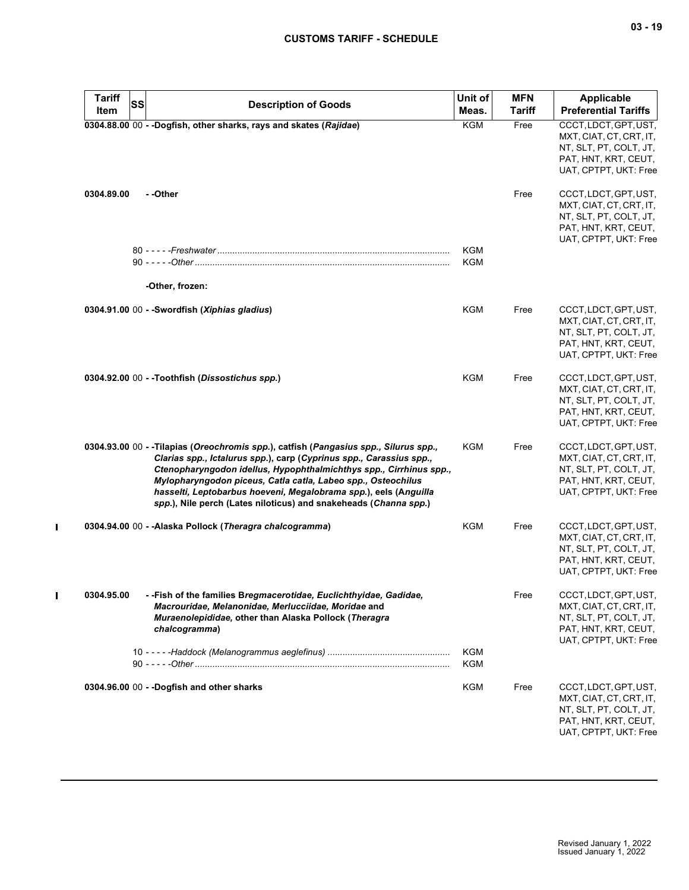| <b>Tariff</b><br>Item | SS<br><b>Description of Goods</b>                                                                                                                                                                                                                                                                                                                                                                                                         | Unit of<br>Meas.  | <b>MFN</b><br><b>Tariff</b> | Applicable<br><b>Preferential Tariffs</b>                                                                                   |
|-----------------------|-------------------------------------------------------------------------------------------------------------------------------------------------------------------------------------------------------------------------------------------------------------------------------------------------------------------------------------------------------------------------------------------------------------------------------------------|-------------------|-----------------------------|-----------------------------------------------------------------------------------------------------------------------------|
|                       | 0304.88.00 00 - - Dogfish, other sharks, rays and skates (Rajidae)                                                                                                                                                                                                                                                                                                                                                                        | <b>KGM</b>        | Free                        | CCCT, LDCT, GPT, UST,<br>MXT, CIAT, CT, CRT, IT,<br>NT, SLT, PT, COLT, JT,<br>PAT, HNT, KRT, CEUT,<br>UAT, CPTPT, UKT: Free |
| 0304.89.00            | - -Other                                                                                                                                                                                                                                                                                                                                                                                                                                  |                   | Free                        | CCCT, LDCT, GPT, UST,<br>MXT, CIAT, CT, CRT, IT,<br>NT, SLT, PT, COLT, JT,<br>PAT, HNT, KRT, CEUT,<br>UAT, CPTPT, UKT: Free |
|                       |                                                                                                                                                                                                                                                                                                                                                                                                                                           | KGM               |                             |                                                                                                                             |
|                       |                                                                                                                                                                                                                                                                                                                                                                                                                                           | KGM               |                             |                                                                                                                             |
|                       | -Other, frozen:                                                                                                                                                                                                                                                                                                                                                                                                                           |                   |                             |                                                                                                                             |
|                       | 0304.91.00 00 - - Swordfish (Xiphias gladius)                                                                                                                                                                                                                                                                                                                                                                                             | KGM               | Free                        | CCCT, LDCT, GPT, UST,<br>MXT, CIAT, CT, CRT, IT,<br>NT, SLT, PT, COLT, JT,<br>PAT, HNT, KRT, CEUT,<br>UAT, CPTPT, UKT: Free |
|                       | 0304.92.00 00 - - Toothfish (Dissostichus spp.)                                                                                                                                                                                                                                                                                                                                                                                           | <b>KGM</b>        | Free                        | CCCT, LDCT, GPT, UST,<br>MXT, CIAT, CT, CRT, IT,<br>NT, SLT, PT, COLT, JT,<br>PAT, HNT, KRT, CEUT,<br>UAT, CPTPT, UKT: Free |
|                       | 0304.93.00 00 - -Tilapias (Oreochromis spp.), catfish (Pangasius spp., Silurus spp.,<br>Clarias spp., Ictalurus spp.), carp (Cyprinus spp., Carassius spp.,<br>Ctenopharyngodon idellus, Hypophthalmichthys spp., Cirrhinus spp.,<br>Mylopharyngodon piceus, Catla catla, Labeo spp., Osteochilus<br>hasselti, Leptobarbus hoeveni, Megalobrama spp.), eels (Anguilla<br>spp.), Nile perch (Lates niloticus) and snakeheads (Channa spp.) | <b>KGM</b>        | Free                        | CCCT, LDCT, GPT, UST,<br>MXT, CIAT, CT, CRT, IT,<br>NT, SLT, PT, COLT, JT,<br>PAT, HNT, KRT, CEUT,<br>UAT, CPTPT, UKT: Free |
|                       | 0304.94.00 00 - - Alaska Pollock (Theragra chalcogramma)                                                                                                                                                                                                                                                                                                                                                                                  | <b>KGM</b>        | Free                        | CCCT, LDCT, GPT, UST,<br>MXT, CIAT, CT, CRT, IT,<br>NT, SLT, PT, COLT, JT,<br>PAT, HNT, KRT, CEUT,<br>UAT, CPTPT, UKT: Free |
| 0304.95.00            | - - Fish of the families Bregmacerotidae, Euclichthyidae, Gadidae,<br>Macrouridae, Melanonidae, Merlucciidae, Moridae and<br>Muraenolepididae, other than Alaska Pollock (Theragra<br>chalcogramma)                                                                                                                                                                                                                                       |                   | Free                        | CCCT, LDCT, GPT, UST,<br>MXT, CIAT, CT, CRT, IT,<br>NT, SLT, PT, COLT, JT,<br>PAT, HNT, KRT, CEUT,<br>UAT, CPTPT, UKT: Free |
|                       |                                                                                                                                                                                                                                                                                                                                                                                                                                           | <b>KGM</b><br>KGM |                             |                                                                                                                             |
|                       | 0304.96.00 00 - - Dogfish and other sharks                                                                                                                                                                                                                                                                                                                                                                                                | <b>KGM</b>        | Free                        | CCCT, LDCT, GPT, UST,<br>MXT, CIAT, CT, CRT, IT,<br>NT, SLT, PT, COLT, JT,<br>PAT, HNT, KRT, CEUT,<br>UAT, CPTPT, UKT: Free |

 $\mathbf{I}$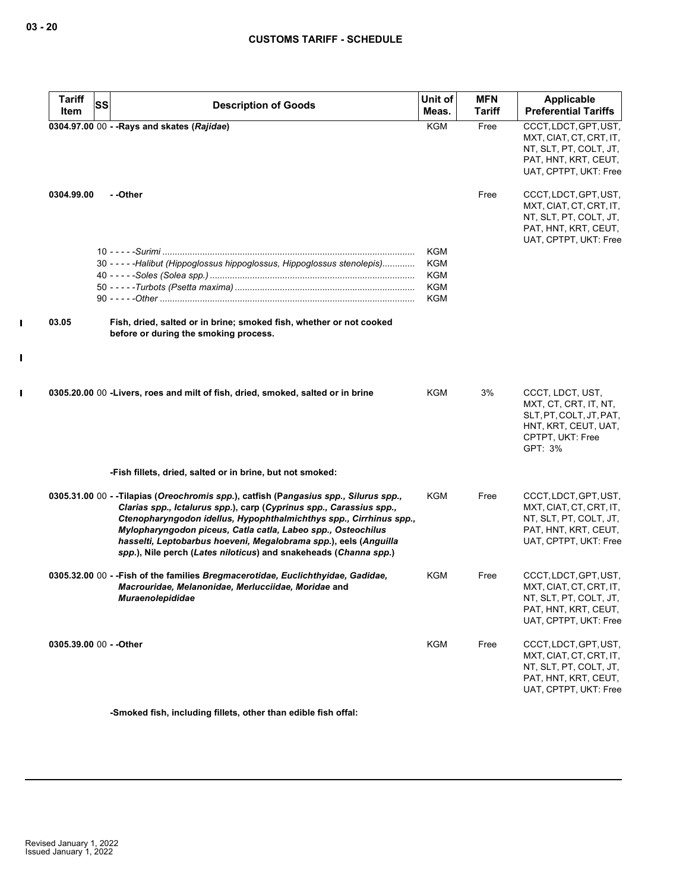$\mathbf{I}$ 

 $\mathbf I$ 

| <b>Tariff</b> | SS                                                                                                                               | Unit of    | <b>MFN</b> | Applicable                                        |
|---------------|----------------------------------------------------------------------------------------------------------------------------------|------------|------------|---------------------------------------------------|
| Item          | <b>Description of Goods</b>                                                                                                      | Meas.      | Tariff     | <b>Preferential Tariffs</b>                       |
|               | 0304.97.00 00 - - Rays and skates (Rajidae)                                                                                      | <b>KGM</b> | Free       | CCCT, LDCT, GPT, UST,                             |
|               |                                                                                                                                  |            |            | MXT, CIAT, CT, CRT, IT,<br>NT, SLT, PT, COLT, JT, |
|               |                                                                                                                                  |            |            | PAT, HNT, KRT, CEUT,                              |
|               |                                                                                                                                  |            |            | UAT, CPTPT, UKT: Free                             |
| 0304.99.00    | - -Other                                                                                                                         |            | Free       | CCCT, LDCT, GPT, UST,                             |
|               |                                                                                                                                  |            |            | MXT, CIAT, CT, CRT, IT,                           |
|               |                                                                                                                                  |            |            | NT, SLT, PT, COLT, JT,                            |
|               |                                                                                                                                  |            |            | PAT, HNT, KRT, CEUT,                              |
|               |                                                                                                                                  |            |            | UAT, CPTPT, UKT: Free                             |
|               |                                                                                                                                  | <b>KGM</b> |            |                                                   |
|               | 30 - - - - - Halibut (Hippoglossus hippoglossus, Hippoglossus stenolepis)                                                        | <b>KGM</b> |            |                                                   |
|               |                                                                                                                                  | <b>KGM</b> |            |                                                   |
|               |                                                                                                                                  | <b>KGM</b> |            |                                                   |
|               |                                                                                                                                  | <b>KGM</b> |            |                                                   |
| 03.05         | Fish, dried, salted or in brine; smoked fish, whether or not cooked                                                              |            |            |                                                   |
|               | before or during the smoking process.                                                                                            |            |            |                                                   |
|               |                                                                                                                                  |            |            |                                                   |
|               |                                                                                                                                  |            |            |                                                   |
|               | 0305.20.00 00 -Livers, roes and milt of fish, dried, smoked, salted or in brine                                                  | <b>KGM</b> | 3%         | CCCT, LDCT, UST,<br>MXT, CT, CRT, IT, NT,         |
|               |                                                                                                                                  |            |            | SLT, PT, COLT, JT, PAT,                           |
|               |                                                                                                                                  |            |            | HNT, KRT, CEUT, UAT,                              |
|               |                                                                                                                                  |            |            | CPTPT, UKT: Free                                  |
|               |                                                                                                                                  |            |            | GPT: 3%                                           |
|               | -Fish fillets, dried, salted or in brine, but not smoked:                                                                        |            |            |                                                   |
|               | 0305.31.00 00 - -Tilapias (Oreochromis spp.), catfish (Pangasius spp., Silurus spp.,                                             | KGM        | Free       | CCCT, LDCT, GPT, UST,                             |
|               | Clarias spp., Ictalurus spp.), carp (Cyprinus spp., Carassius spp.,                                                              |            |            | MXT, CIAT, CT, CRT, IT,                           |
|               | Ctenopharyngodon idellus, Hypophthalmichthys spp., Cirrhinus spp.,                                                               |            |            | NT, SLT, PT, COLT, JT,                            |
|               | Mylopharyngodon piceus, Catla catla, Labeo spp., Osteochilus<br>hasselti, Leptobarbus hoeveni, Megalobrama spp.), eels (Anguilla |            |            | PAT, HNT, KRT, CEUT,<br>UAT, CPTPT, UKT: Free     |
|               | spp.), Nile perch (Lates niloticus) and snakeheads (Channa spp.)                                                                 |            |            |                                                   |
|               | 0305.32.00 00 - - Fish of the families Bregmacerotidae, Euclichthyidae, Gadidae,                                                 | KGM        | Free       | CCCT, LDCT, GPT, UST,                             |
|               | Macrouridae, Melanonidae, Merlucciidae, Moridae and                                                                              |            |            | MXT, CIAT, CT, CRT, IT,                           |
|               | <i><b>Muraenolepididae</b></i>                                                                                                   |            |            | NT, SLT, PT, COLT, JT,                            |
|               |                                                                                                                                  |            |            | PAT, HNT, KRT, CEUT,                              |
|               |                                                                                                                                  |            |            | UAT, CPTPT, UKT: Free                             |
|               | 0305.39.00 00 - - Other                                                                                                          | <b>KGM</b> | Free       | CCCT, LDCT, GPT, UST,                             |
|               |                                                                                                                                  |            |            | MXT, CIAT, CT, CRT, IT,                           |
|               |                                                                                                                                  |            |            | NT, SLT, PT, COLT, JT,<br>PAT, HNT, KRT, CEUT,    |
|               |                                                                                                                                  |            |            | UAT, CPTPT, UKT: Free                             |
|               |                                                                                                                                  |            |            |                                                   |

**-Smoked fish, including fillets, other than edible fish offal:**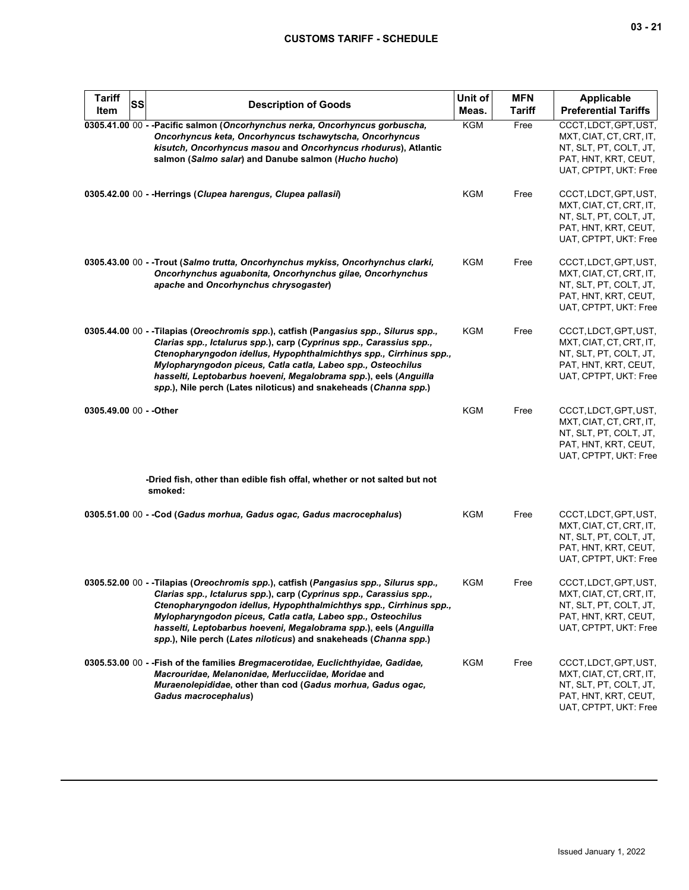| <b>Tariff</b><br>Item   | SS | <b>Description of Goods</b>                                                                                                                                                                                                                                                                                                                                                                                                               | Unit of<br>Meas. | <b>MFN</b><br><b>Tariff</b> | <b>Applicable</b><br><b>Preferential Tariffs</b>                                                                            |
|-------------------------|----|-------------------------------------------------------------------------------------------------------------------------------------------------------------------------------------------------------------------------------------------------------------------------------------------------------------------------------------------------------------------------------------------------------------------------------------------|------------------|-----------------------------|-----------------------------------------------------------------------------------------------------------------------------|
|                         |    | 0305.41.00 00 - - Pacific salmon (Oncorhynchus nerka, Oncorhyncus gorbuscha,<br>Oncorhyncus keta, Oncorhyncus tschawytscha, Oncorhyncus<br>kisutch, Oncorhyncus masou and Oncorhyncus rhodurus), Atlantic<br>salmon (Salmo salar) and Danube salmon (Hucho hucho)                                                                                                                                                                         | KGM              | Free                        | CCCT, LDCT, GPT, UST,<br>MXT, CIAT, CT, CRT, IT,<br>NT, SLT, PT, COLT, JT,<br>PAT, HNT, KRT, CEUT,<br>UAT, CPTPT, UKT: Free |
|                         |    | 0305.42.00 00 - - Herrings (Clupea harengus, Clupea pallasii)                                                                                                                                                                                                                                                                                                                                                                             | <b>KGM</b>       | Free                        | CCCT, LDCT, GPT, UST,<br>MXT, CIAT, CT, CRT, IT,<br>NT, SLT, PT, COLT, JT,<br>PAT, HNT, KRT, CEUT,<br>UAT, CPTPT, UKT: Free |
|                         |    | 0305.43.00 00 - - Trout (Salmo trutta, Oncorhynchus mykiss, Oncorhynchus clarki,<br>Oncorhynchus aguabonita, Oncorhynchus gilae, Oncorhynchus<br>apache and Oncorhynchus chrysogaster)                                                                                                                                                                                                                                                    | <b>KGM</b>       | Free                        | CCCT, LDCT, GPT, UST,<br>MXT, CIAT, CT, CRT, IT,<br>NT, SLT, PT, COLT, JT,<br>PAT, HNT, KRT, CEUT,<br>UAT, CPTPT, UKT: Free |
|                         |    | 0305.44.00 00 - -Tilapias (Oreochromis spp.), catfish (Pangasius spp., Silurus spp.,<br>Clarias spp., Ictalurus spp.), carp (Cyprinus spp., Carassius spp.,<br>Ctenopharyngodon idellus, Hypophthalmichthys spp., Cirrhinus spp.,<br>Mylopharyngodon piceus, Catla catla, Labeo spp., Osteochilus<br>hasselti, Leptobarbus hoeveni, Megalobrama spp.), eels (Anguilla<br>spp.), Nile perch (Lates niloticus) and snakeheads (Channa spp.) | <b>KGM</b>       | Free                        | CCCT, LDCT, GPT, UST,<br>MXT, CIAT, CT, CRT, IT,<br>NT, SLT, PT, COLT, JT,<br>PAT, HNT, KRT, CEUT,<br>UAT, CPTPT, UKT: Free |
| 0305.49.00 00 - - Other |    |                                                                                                                                                                                                                                                                                                                                                                                                                                           | <b>KGM</b>       | Free                        | CCCT, LDCT, GPT, UST,<br>MXT, CIAT, CT, CRT, IT,<br>NT, SLT, PT, COLT, JT,<br>PAT, HNT, KRT, CEUT,<br>UAT, CPTPT, UKT: Free |
|                         |    | -Dried fish, other than edible fish offal, whether or not salted but not<br>smoked:                                                                                                                                                                                                                                                                                                                                                       |                  |                             |                                                                                                                             |
|                         |    | 0305.51.00 00 - - Cod (Gadus morhua, Gadus ogac, Gadus macrocephalus)                                                                                                                                                                                                                                                                                                                                                                     | KGM              | Free                        | CCCT, LDCT, GPT, UST,<br>MXT, CIAT, CT, CRT, IT,<br>NT, SLT, PT, COLT, JT,<br>PAT, HNT, KRT, CEUT,<br>UAT, CPTPT, UKT: Free |
|                         |    | 0305.52.00 00 - -Tilapias (Oreochromis spp.), catfish (Pangasius spp., Silurus spp.,<br>Clarias spp., Ictalurus spp.), carp (Cyprinus spp., Carassius spp.,<br>Ctenopharyngodon idellus, Hypophthalmichthys spp., Cirrhinus spp.,<br>Mylopharyngodon piceus, Catla catla, Labeo spp., Osteochilus<br>hasselti, Leptobarbus hoeveni, Megalobrama spp.), eels (Anguilla<br>spp.), Nile perch (Lates niloticus) and snakeheads (Channa spp.) | KGM              | Free                        | CCCT, LDCT, GPT, UST,<br>MXT, CIAT, CT, CRT, IT,<br>NT, SLT, PT, COLT, JT,<br>PAT, HNT, KRT, CEUT,<br>UAT, CPTPT, UKT: Free |
|                         |    | 0305.53.00 00 - - Fish of the families Bregmacerotidae, Euclichthyidae, Gadidae,<br>Macrouridae, Melanonidae, Merlucciidae, Moridae and<br>Muraenolepididae, other than cod (Gadus morhua, Gadus ogac,<br>Gadus macrocephalus)                                                                                                                                                                                                            | KGM              | Free                        | CCCT, LDCT, GPT, UST,<br>MXT, CIAT, CT, CRT, IT,<br>NT, SLT, PT, COLT, JT,<br>PAT, HNT, KRT, CEUT,<br>UAT, CPTPT, UKT: Free |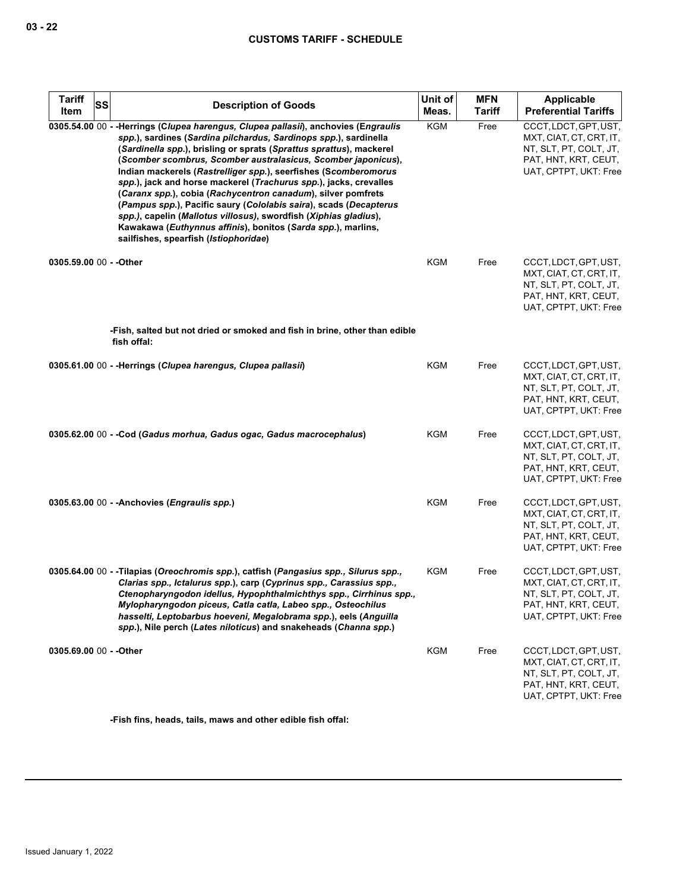| <b>Tariff</b>           | <b>SS</b> | <b>Description of Goods</b>                                                                                                                                                                                                                                                                                                                                                                                                                                                                                                                                                                                                                                                                                                                               | Unit of    | <b>MFN</b>    | Applicable                                                                                                                  |
|-------------------------|-----------|-----------------------------------------------------------------------------------------------------------------------------------------------------------------------------------------------------------------------------------------------------------------------------------------------------------------------------------------------------------------------------------------------------------------------------------------------------------------------------------------------------------------------------------------------------------------------------------------------------------------------------------------------------------------------------------------------------------------------------------------------------------|------------|---------------|-----------------------------------------------------------------------------------------------------------------------------|
| Item                    |           |                                                                                                                                                                                                                                                                                                                                                                                                                                                                                                                                                                                                                                                                                                                                                           | Meas.      | <b>Tariff</b> | <b>Preferential Tariffs</b>                                                                                                 |
|                         |           | 0305.54.00 00 - - Herrings (Clupea harengus, Clupea pallasii), anchovies (Engraulis<br>spp.), sardines (Sardina pilchardus, Sardinops spp.), sardinella<br>(Sardinella spp.), brisling or sprats (Sprattus sprattus), mackerel<br>(Scomber scombrus, Scomber australasicus, Scomber japonicus),<br>Indian mackerels (Rastrelliger spp.), seerfishes (Scomberomorus<br>spp.), jack and horse mackerel (Trachurus spp.), jacks, crevalles<br>(Caranx spp.), cobia (Rachycentron canadum), silver pomfrets<br>(Pampus spp.), Pacific saury (Cololabis saira), scads (Decapterus<br>spp.), capelin (Mallotus villosus), swordfish (Xiphias gladius),<br>Kawakawa (Euthynnus affinis), bonitos (Sarda spp.), marlins,<br>sailfishes, spearfish (Istiophoridae) | KGM        | Free          | CCCT, LDCT, GPT, UST,<br>MXT, CIAT, CT, CRT, IT,<br>NT, SLT, PT, COLT, JT,<br>PAT, HNT, KRT, CEUT,<br>UAT, CPTPT, UKT: Free |
| 0305.59.00 00 - - Other |           | -Fish, salted but not dried or smoked and fish in brine, other than edible                                                                                                                                                                                                                                                                                                                                                                                                                                                                                                                                                                                                                                                                                | KGM        | Free          | CCCT, LDCT, GPT, UST,<br>MXT, CIAT, CT, CRT, IT,<br>NT, SLT, PT, COLT, JT,<br>PAT, HNT, KRT, CEUT,<br>UAT, CPTPT, UKT: Free |
|                         |           | fish offal:                                                                                                                                                                                                                                                                                                                                                                                                                                                                                                                                                                                                                                                                                                                                               |            |               |                                                                                                                             |
|                         |           | 0305.61.00 00 - - Herrings (Clupea harengus, Clupea pallasii)                                                                                                                                                                                                                                                                                                                                                                                                                                                                                                                                                                                                                                                                                             | KGM        | Free          | CCCT, LDCT, GPT, UST,<br>MXT, CIAT, CT, CRT, IT,<br>NT, SLT, PT, COLT, JT,<br>PAT, HNT, KRT, CEUT,<br>UAT, CPTPT, UKT: Free |
|                         |           | 0305.62.00 00 - -Cod (Gadus morhua, Gadus ogac, Gadus macrocephalus)                                                                                                                                                                                                                                                                                                                                                                                                                                                                                                                                                                                                                                                                                      | KGM        | Free          | CCCT, LDCT, GPT, UST,<br>MXT, CIAT, CT, CRT, IT,<br>NT, SLT, PT, COLT, JT,<br>PAT, HNT, KRT, CEUT,<br>UAT, CPTPT, UKT: Free |
|                         |           | 0305.63.00 00 - - Anchovies (Engraulis spp.)                                                                                                                                                                                                                                                                                                                                                                                                                                                                                                                                                                                                                                                                                                              | <b>KGM</b> | Free          | CCCT, LDCT, GPT, UST,<br>MXT, CIAT, CT, CRT, IT,<br>NT, SLT, PT, COLT, JT,<br>PAT, HNT, KRT, CEUT,<br>UAT, CPTPT, UKT: Free |
|                         |           | 0305.64.00 00 - - Tilapias (Oreochromis spp.), catfish (Pangasius spp., Silurus spp.,<br>Clarias spp., Ictalurus spp.), carp (Cyprinus spp., Carassius spp.,<br>Ctenopharyngodon idellus, Hypophthalmichthys spp., Cirrhinus spp.,<br>Mylopharyngodon piceus, Catla catla, Labeo spp., Osteochilus<br>hasselti, Leptobarbus hoeveni, Megalobrama spp.), eels (Anguilla<br>spp.), Nile perch (Lates niloticus) and snakeheads (Channa spp.)                                                                                                                                                                                                                                                                                                                | KGM        | Free          | CCCT, LDCT, GPT, UST,<br>MXT, CIAT, CT, CRT, IT,<br>NT, SLT, PT, COLT, JT,<br>PAT, HNT, KRT, CEUT,<br>UAT, CPTPT, UKT: Free |
| 0305.69.00 00 - - Other |           |                                                                                                                                                                                                                                                                                                                                                                                                                                                                                                                                                                                                                                                                                                                                                           | <b>KGM</b> | Free          | CCCT, LDCT, GPT, UST,<br>MXT, CIAT, CT, CRT, IT,<br>NT, SLT, PT, COLT, JT,<br>PAT, HNT, KRT, CEUT,<br>UAT, CPTPT, UKT: Free |

**-Fish fins, heads, tails, maws and other edible fish offal:**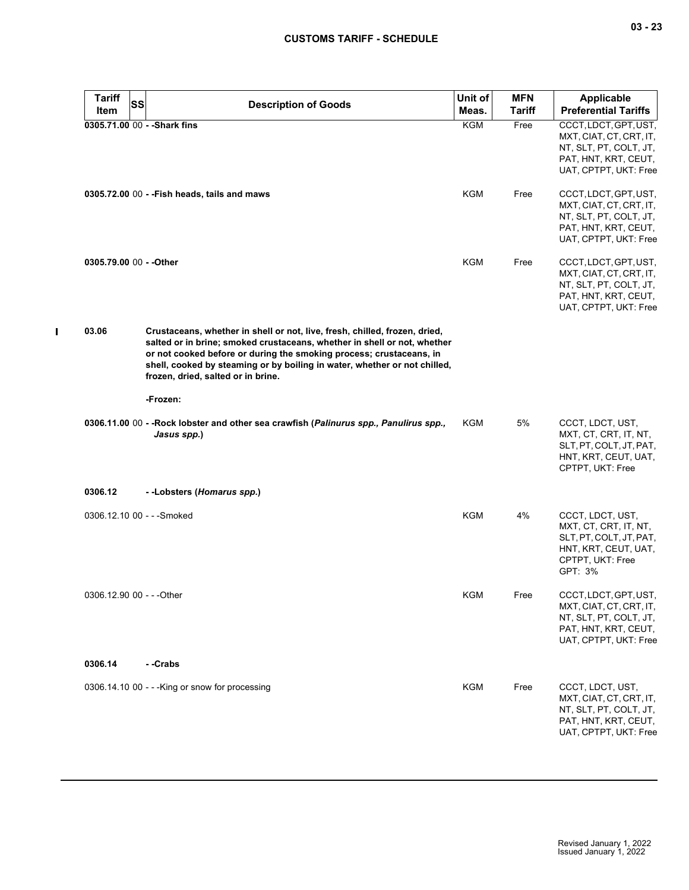| <b>Tariff</b><br>Item     | <b>SS</b> | <b>Description of Goods</b>                                                                                                                                                                                                                                                                                                                      | Unit of<br>Meas. | <b>MFN</b><br><b>Tariff</b> | <b>Applicable</b><br><b>Preferential Tariffs</b>                                                                            |
|---------------------------|-----------|--------------------------------------------------------------------------------------------------------------------------------------------------------------------------------------------------------------------------------------------------------------------------------------------------------------------------------------------------|------------------|-----------------------------|-----------------------------------------------------------------------------------------------------------------------------|
|                           |           | 0305.71.00 00 - - Shark fins                                                                                                                                                                                                                                                                                                                     | KGM              | Free                        | CCCT, LDCT, GPT, UST,<br>MXT, CIAT, CT, CRT, IT,<br>NT, SLT, PT, COLT, JT,<br>PAT, HNT, KRT, CEUT,<br>UAT, CPTPT, UKT: Free |
|                           |           | 0305.72.00 00 - - Fish heads, tails and maws                                                                                                                                                                                                                                                                                                     | KGM              | Free                        | CCCT, LDCT, GPT, UST,<br>MXT, CIAT, CT, CRT, IT,<br>NT, SLT, PT, COLT, JT,<br>PAT, HNT, KRT, CEUT,<br>UAT, CPTPT, UKT: Free |
| 0305.79.00 00 - - Other   |           |                                                                                                                                                                                                                                                                                                                                                  | <b>KGM</b>       | Free                        | CCCT, LDCT, GPT, UST,<br>MXT, CIAT, CT, CRT, IT,<br>NT, SLT, PT, COLT, JT,<br>PAT, HNT, KRT, CEUT,<br>UAT, CPTPT, UKT: Free |
| 03.06                     |           | Crustaceans, whether in shell or not, live, fresh, chilled, frozen, dried,<br>salted or in brine; smoked crustaceans, whether in shell or not, whether<br>or not cooked before or during the smoking process; crustaceans, in<br>shell, cooked by steaming or by boiling in water, whether or not chilled,<br>frozen, dried, salted or in brine. |                  |                             |                                                                                                                             |
|                           |           | -Frozen:                                                                                                                                                                                                                                                                                                                                         |                  |                             |                                                                                                                             |
|                           |           | 0306.11.00 00 - - Rock lobster and other sea crawfish (Palinurus spp., Panulirus spp.,<br>Jasus spp.)                                                                                                                                                                                                                                            | KGM              | 5%                          | CCCT, LDCT, UST,<br>MXT, CT, CRT, IT, NT,<br>SLT, PT, COLT, JT, PAT,<br>HNT, KRT, CEUT, UAT,<br>CPTPT, UKT: Free            |
| 0306.12                   |           | --Lobsters (Homarus spp.)                                                                                                                                                                                                                                                                                                                        |                  |                             |                                                                                                                             |
|                           |           | 0306.12.10 00 - - - Smoked                                                                                                                                                                                                                                                                                                                       | <b>KGM</b>       | 4%                          | CCCT, LDCT, UST,<br>MXT, CT, CRT, IT, NT,<br>SLT, PT, COLT, JT, PAT,<br>HNT, KRT, CEUT, UAT,<br>CPTPT, UKT: Free<br>GPT: 3% |
| 0306.12.90 00 - - - Other |           |                                                                                                                                                                                                                                                                                                                                                  | KGM              | Free                        | CCCT, LDCT, GPT, UST,<br>MXT, CIAT, CT, CRT, IT,<br>NT, SLT, PT, COLT, JT,<br>PAT, HNT, KRT, CEUT,<br>UAT, CPTPT, UKT: Free |
| 0306.14                   |           | - -Crabs                                                                                                                                                                                                                                                                                                                                         |                  |                             |                                                                                                                             |
|                           |           | $0306.14.1000 - -$ King or snow for processing                                                                                                                                                                                                                                                                                                   | <b>KGM</b>       | Free                        | CCCT, LDCT, UST,<br>MXT, CIAT, CT, CRT, IT,<br>NT, SLT, PT, COLT, JT,<br>PAT, HNT, KRT, CEUT,<br>UAT, CPTPT, UKT: Free      |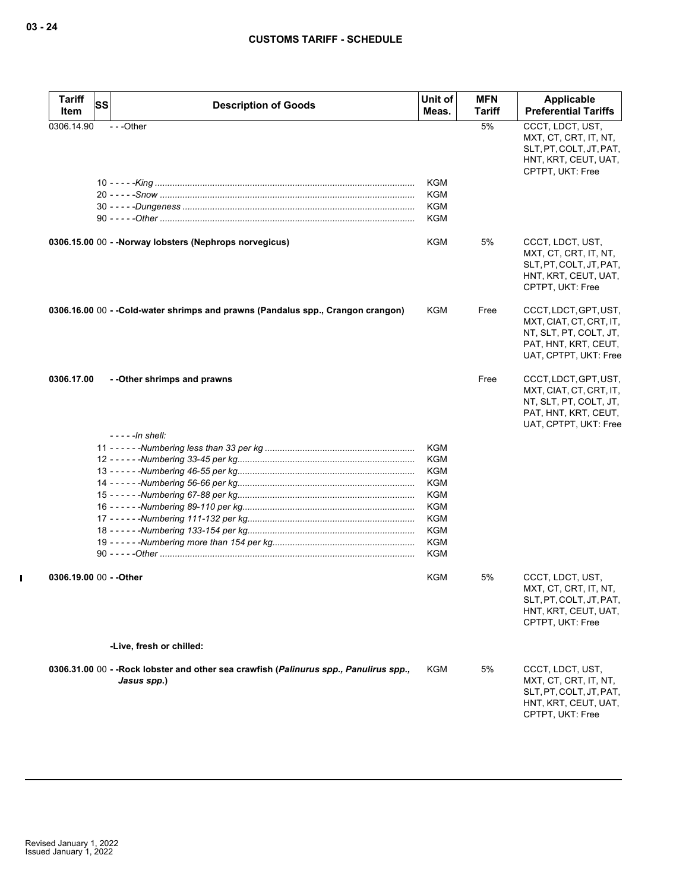| <b>Tariff</b>           | <b>SS</b><br><b>Description of Goods</b>                                                              | Unit of    | <b>MFN</b>    | <b>Applicable</b>                                                                                                           |
|-------------------------|-------------------------------------------------------------------------------------------------------|------------|---------------|-----------------------------------------------------------------------------------------------------------------------------|
| Item                    |                                                                                                       | Meas.      | <b>Tariff</b> | <b>Preferential Tariffs</b>                                                                                                 |
| 0306.14.90              | ---Other                                                                                              | KGM        | 5%            | CCCT, LDCT, UST,<br>MXT, CT, CRT, IT, NT,<br>SLT, PT, COLT, JT, PAT,<br>HNT, KRT, CEUT, UAT,<br>CPTPT, UKT: Free            |
|                         |                                                                                                       | KGM        |               |                                                                                                                             |
|                         |                                                                                                       | KGM        |               |                                                                                                                             |
|                         |                                                                                                       | KGM        |               |                                                                                                                             |
|                         |                                                                                                       |            |               |                                                                                                                             |
|                         | 0306.15.00 00 - - Norway lobsters (Nephrops norvegicus)                                               | KGM        | 5%            | CCCT, LDCT, UST,<br>MXT, CT, CRT, IT, NT,<br>SLT, PT, COLT, JT, PAT,<br>HNT, KRT, CEUT, UAT,<br>CPTPT, UKT: Free            |
|                         | 0306.16.00 00 - -Cold-water shrimps and prawns (Pandalus spp., Crangon crangon)                       | KGM        | Free          | CCCT, LDCT, GPT, UST,<br>MXT, CIAT, CT, CRT, IT,<br>NT, SLT, PT, COLT, JT,<br>PAT, HNT, KRT, CEUT,<br>UAT, CPTPT, UKT: Free |
| 0306.17.00              | - - Other shrimps and prawns<br>- - - - - In shell:                                                   |            | Free          | CCCT, LDCT, GPT, UST,<br>MXT, CIAT, CT, CRT, IT,<br>NT, SLT, PT, COLT, JT,<br>PAT, HNT, KRT, CEUT,<br>UAT, CPTPT, UKT: Free |
|                         |                                                                                                       | <b>KGM</b> |               |                                                                                                                             |
|                         |                                                                                                       | KGM        |               |                                                                                                                             |
|                         |                                                                                                       | KGM        |               |                                                                                                                             |
|                         |                                                                                                       | <b>KGM</b> |               |                                                                                                                             |
|                         |                                                                                                       | KGM        |               |                                                                                                                             |
|                         |                                                                                                       | KGM        |               |                                                                                                                             |
|                         |                                                                                                       | KGM        |               |                                                                                                                             |
|                         |                                                                                                       | <b>KGM</b> |               |                                                                                                                             |
|                         |                                                                                                       | <b>KGM</b> |               |                                                                                                                             |
|                         |                                                                                                       | <b>KGM</b> |               |                                                                                                                             |
| 0306.19.00 00 - - Other |                                                                                                       | KGM        | 5%            | CCCT, LDCT, UST,<br>MXT, CT, CRT, IT, NT,<br>SLT, PT, COLT, JT, PAT,<br>HNT, KRT, CEUT, UAT,<br>CPTPT, UKT: Free            |
|                         | -Live, fresh or chilled:                                                                              |            |               |                                                                                                                             |
|                         |                                                                                                       |            |               |                                                                                                                             |
|                         | 0306.31.00 00 - - Rock lobster and other sea crawfish (Palinurus spp., Panulirus spp.,<br>Jasus spp.) | KGM        | 5%            | CCCT, LDCT, UST,<br>MXT, CT, CRT, IT, NT,<br>SLT, PT, COLT, JT, PAT,<br>HNT, KRT, CEUT, UAT,<br>CPTPT, UKT: Free            |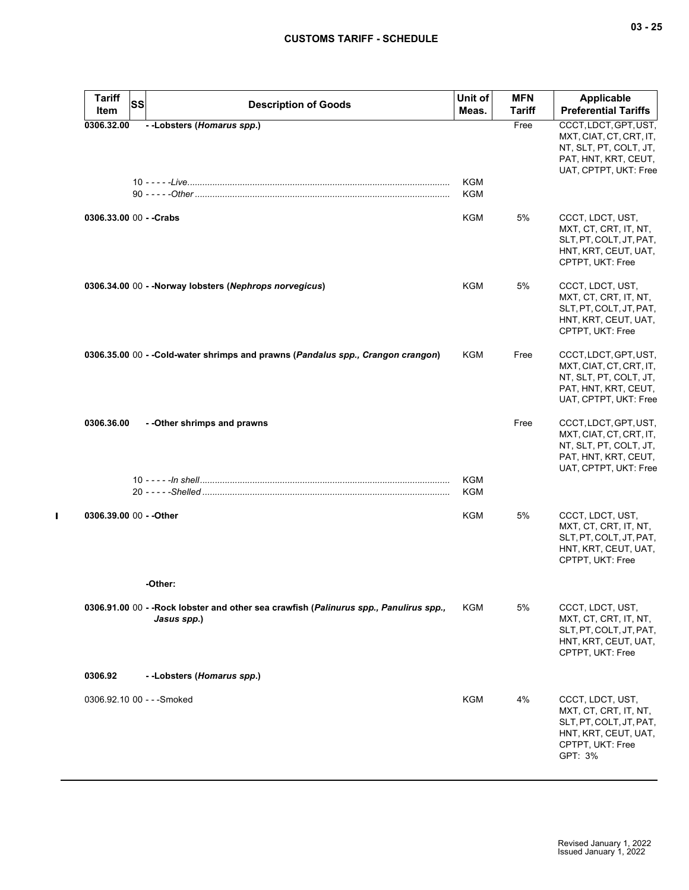| <b>Tariff</b><br><b>SS</b><br>Item | <b>Description of Goods</b>                                                                          | Unit of<br>Meas.         | <b>MFN</b><br>Tariff | <b>Applicable</b><br><b>Preferential Tariffs</b>                                                                            |
|------------------------------------|------------------------------------------------------------------------------------------------------|--------------------------|----------------------|-----------------------------------------------------------------------------------------------------------------------------|
| 0306.32.00                         | --Lobsters (Homarus spp.)                                                                            |                          | Free                 | CCCT, LDCT, GPT, UST,<br>MXT, CIAT, CT, CRT, IT,<br>NT, SLT, PT, COLT, JT,<br>PAT, HNT, KRT, CEUT,<br>UAT, CPTPT, UKT: Free |
|                                    |                                                                                                      | <b>KGM</b><br><b>KGM</b> |                      |                                                                                                                             |
| 0306.33.00 00 - - Crabs            |                                                                                                      | KGM                      | 5%                   | CCCT, LDCT, UST,<br>MXT, CT, CRT, IT, NT,<br>SLT, PT, COLT, JT, PAT,<br>HNT, KRT, CEUT, UAT,<br>CPTPT, UKT: Free            |
|                                    | 0306.34.00 00 - - Norway lobsters (Nephrops norvegicus)                                              | <b>KGM</b>               | 5%                   | CCCT, LDCT, UST,<br>MXT, CT, CRT, IT, NT,<br>SLT, PT, COLT, JT, PAT,<br>HNT, KRT, CEUT, UAT,<br>CPTPT, UKT: Free            |
|                                    | 0306.35.00 00 - - Cold-water shrimps and prawns (Pandalus spp., Crangon crangon)                     | KGM                      | Free                 | CCCT, LDCT, GPT, UST,<br>MXT, CIAT, CT, CRT, IT,<br>NT, SLT, PT, COLT, JT,<br>PAT, HNT, KRT, CEUT,<br>UAT, CPTPT, UKT: Free |
| 0306.36.00                         | - - Other shrimps and prawns                                                                         |                          | Free                 | CCCT, LDCT, GPT, UST,<br>MXT, CIAT, CT, CRT, IT,<br>NT, SLT, PT, COLT, JT,<br>PAT, HNT, KRT, CEUT,<br>UAT, CPTPT, UKT: Free |
|                                    |                                                                                                      | KGM<br><b>KGM</b>        |                      |                                                                                                                             |
| 0306.39.00 00 - - Other            |                                                                                                      | <b>KGM</b>               | 5%                   | CCCT, LDCT, UST,<br>MXT, CT, CRT, IT, NT,<br>SLT, PT, COLT, JT, PAT,<br>HNT, KRT, CEUT, UAT,<br>CPTPT, UKT: Free            |
|                                    | -Other:                                                                                              |                          |                      |                                                                                                                             |
|                                    | 0306.91.00 00 - -Rock lobster and other sea crawfish (Palinurus spp., Panulirus spp.,<br>Jasus spp.) | KGM                      | 5%                   | CCCT, LDCT, UST,<br>MXT, CT, CRT, IT, NT,<br>SLT, PT, COLT, JT, PAT,<br>HNT, KRT, CEUT, UAT,<br>CPTPT, UKT: Free            |
| 0306.92                            | --Lobsters (Homarus spp.)                                                                            |                          |                      |                                                                                                                             |
| 0306.92.10 00 - - - Smoked         |                                                                                                      | <b>KGM</b>               | 4%                   | CCCT, LDCT, UST,<br>MXT, CT, CRT, IT, NT,<br>SLT, PT, COLT, JT, PAT,<br>HNT, KRT, CEUT, UAT,<br>CPTPT, UKT: Free<br>GPT: 3% |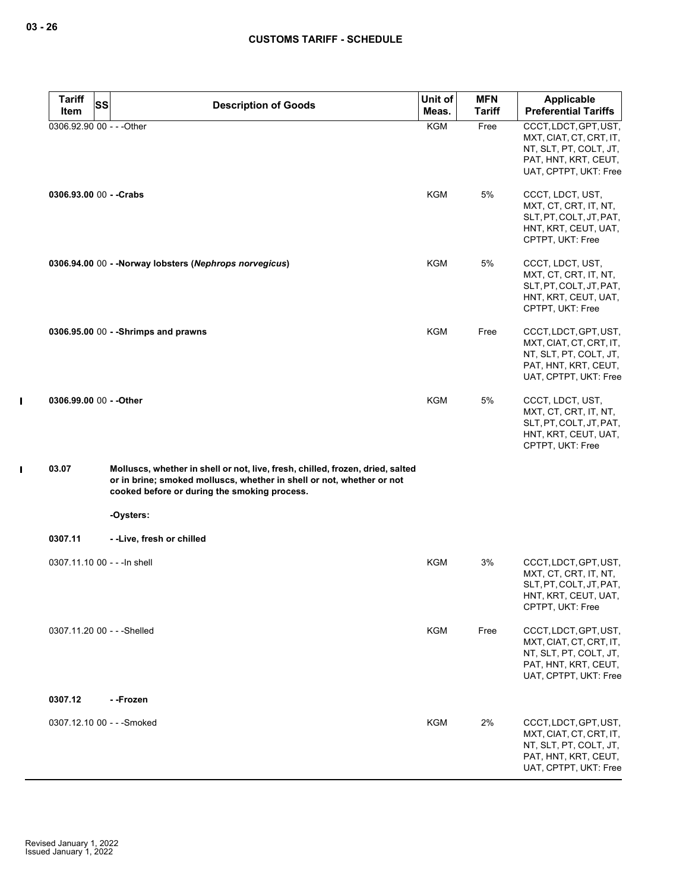$\mathbf I$ 

 $\mathbf I$ 

| <b>Tariff</b>                | <b>SS</b> | <b>Description of Goods</b>                                                                                                                                                                             | Unit of    | <b>MFN</b>    | Applicable                                                                                                                  |
|------------------------------|-----------|---------------------------------------------------------------------------------------------------------------------------------------------------------------------------------------------------------|------------|---------------|-----------------------------------------------------------------------------------------------------------------------------|
| Item                         |           |                                                                                                                                                                                                         | Meas.      | <b>Tariff</b> | <b>Preferential Tariffs</b>                                                                                                 |
| 0306.92.90 00 - - - Other    |           |                                                                                                                                                                                                         | <b>KGM</b> | Free          | CCCT, LDCT, GPT, UST,<br>MXT, CIAT, CT, CRT, IT,<br>NT, SLT, PT, COLT, JT,<br>PAT, HNT, KRT, CEUT,<br>UAT, CPTPT, UKT: Free |
| 0306.93.00 00 - - Crabs      |           |                                                                                                                                                                                                         | <b>KGM</b> | 5%            | CCCT, LDCT, UST,<br>MXT, CT, CRT, IT, NT,<br>SLT, PT, COLT, JT, PAT,<br>HNT, KRT, CEUT, UAT,<br>CPTPT, UKT: Free            |
|                              |           | 0306.94.00 00 - - Norway lobsters (Nephrops norvegicus)                                                                                                                                                 | <b>KGM</b> | 5%            | CCCT, LDCT, UST,<br>MXT, CT, CRT, IT, NT,<br>SLT, PT, COLT, JT, PAT,<br>HNT, KRT, CEUT, UAT,<br>CPTPT, UKT: Free            |
|                              |           | 0306.95.00 00 - - Shrimps and prawns                                                                                                                                                                    | <b>KGM</b> | Free          | CCCT, LDCT, GPT, UST,<br>MXT, CIAT, CT, CRT, IT,<br>NT, SLT, PT, COLT, JT,<br>PAT, HNT, KRT, CEUT,<br>UAT, CPTPT, UKT: Free |
| 0306.99.00 00 - - Other      |           |                                                                                                                                                                                                         | <b>KGM</b> | 5%            | CCCT, LDCT, UST,<br>MXT, CT, CRT, IT, NT,<br>SLT, PT, COLT, JT, PAT,<br>HNT, KRT, CEUT, UAT,<br>CPTPT, UKT: Free            |
| 03.07                        |           | Molluscs, whether in shell or not, live, fresh, chilled, frozen, dried, salted<br>or in brine; smoked molluscs, whether in shell or not, whether or not<br>cooked before or during the smoking process. |            |               |                                                                                                                             |
|                              |           | -Oysters:                                                                                                                                                                                               |            |               |                                                                                                                             |
| 0307.11                      |           | --Live, fresh or chilled                                                                                                                                                                                |            |               |                                                                                                                             |
| 0307.11.10 00 - - - In shell |           |                                                                                                                                                                                                         | <b>KGM</b> | 3%            | CCCT, LDCT, GPT, UST,<br>MXT, CT, CRT, IT, NT,<br>SLT, PT, COLT, JT, PAT,<br>HNT, KRT, CEUT, UAT,<br>CPTPT, UKT: Free       |
| 0307.11.20 00 - - - Shelled  |           |                                                                                                                                                                                                         | <b>KGM</b> | Free          | CCCT, LDCT, GPT, UST,<br>MXT, CIAT, CT, CRT, IT,<br>NT, SLT, PT, COLT, JT,<br>PAT, HNT, KRT, CEUT,<br>UAT, CPTPT, UKT: Free |
| 0307.12                      |           | --Frozen                                                                                                                                                                                                |            |               |                                                                                                                             |
|                              |           | 0307.12.10 00 - - - Smoked                                                                                                                                                                              | <b>KGM</b> | 2%            | CCCT, LDCT, GPT, UST,<br>MXT, CIAT, CT, CRT, IT,<br>NT, SLT, PT, COLT, JT,<br>PAT, HNT, KRT, CEUT,<br>UAT, CPTPT, UKT: Free |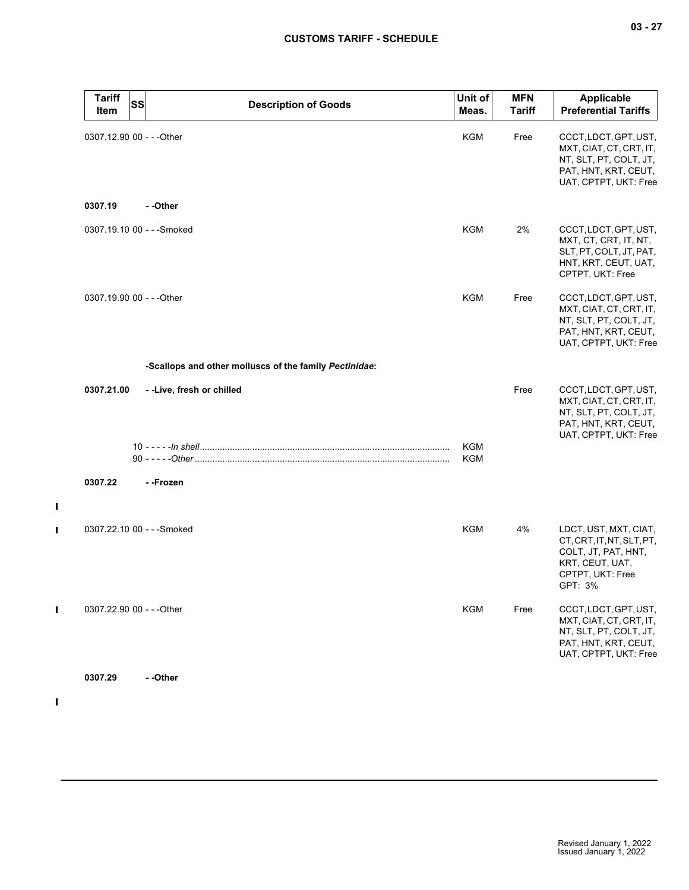| <b>Tariff</b><br>Item     | <b>SS</b> | <b>Description of Goods</b>                            | Unit of<br>Meas.  | <b>MFN</b><br>Tariff | Applicable<br><b>Preferential Tariffs</b>                                                                                   |
|---------------------------|-----------|--------------------------------------------------------|-------------------|----------------------|-----------------------------------------------------------------------------------------------------------------------------|
| 0307.12.90 00 - - - Other |           |                                                        | KGM               | Free                 | CCCT, LDCT, GPT, UST,<br>MXT, CIAT, CT, CRT, IT,<br>NT, SLT, PT, COLT, JT,<br>PAT, HNT, KRT, CEUT,<br>UAT, CPTPT, UKT: Free |
| 0307.19                   |           | --Other                                                |                   |                      |                                                                                                                             |
|                           |           | 0307.19.10 00 - - - Smoked                             | <b>KGM</b>        | 2%                   | CCCT, LDCT, GPT, UST,<br>MXT, CT, CRT, IT, NT,<br>SLT, PT, COLT, JT, PAT,<br>HNT, KRT, CEUT, UAT,<br>CPTPT, UKT: Free       |
| 0307.19.90 00 - - - Other |           |                                                        | KGM               | Free                 | CCCT, LDCT, GPT, UST,<br>MXT, CIAT, CT, CRT, IT,<br>NT, SLT, PT, COLT, JT,<br>PAT, HNT, KRT, CEUT,<br>UAT, CPTPT, UKT: Free |
|                           |           | -Scallops and other molluscs of the family Pectinidae: |                   |                      |                                                                                                                             |
| 0307.21.00                |           | --Live, fresh or chilled                               |                   | Free                 | CCCT, LDCT, GPT, UST,<br>MXT, CIAT, CT, CRT, IT,<br>NT, SLT, PT, COLT, JT,<br>PAT, HNT, KRT, CEUT,<br>UAT, CPTPT, UKT: Free |
|                           |           |                                                        | KGM<br><b>KGM</b> |                      |                                                                                                                             |
| 0307.22                   |           | - -Frozen                                              |                   |                      |                                                                                                                             |
|                           |           | 0307.22.10 00 - - - Smoked                             | <b>KGM</b>        | 4%                   | LDCT, UST, MXT, CIAT,<br>CT, CRT, IT, NT, SLT, PT,<br>COLT, JT, PAT, HNT,<br>KRT, CEUT, UAT,<br>CPTPT, UKT: Free<br>GPT: 3% |
| 0307.22.90 00 - - - Other |           |                                                        | <b>KGM</b>        | Free                 | CCCT, LDCT, GPT, UST,<br>MXT, CIAT, CT, CRT, IT,<br>NT, SLT, PT, COLT, JT,<br>PAT, HNT, KRT, CEUT,<br>UAT, CPTPT, UKT: Free |
| 0307.29                   |           | - -Other                                               |                   |                      |                                                                                                                             |

 $\mathbf{I}$ 

 $\mathbf{I}$ 

 $\mathbf{I}$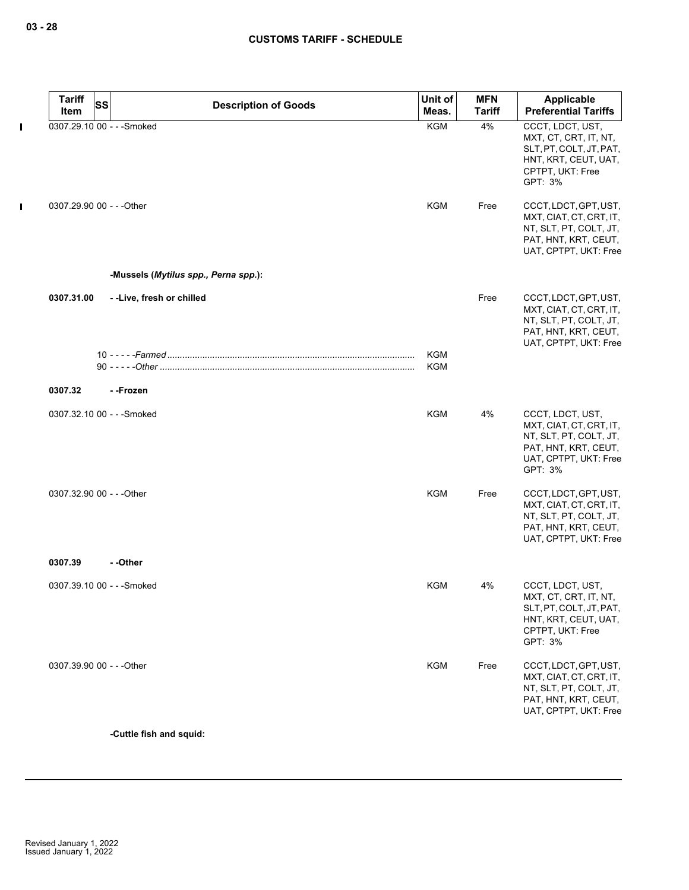|             | <b>Tariff</b>              | <b>SS</b> | <b>Description of Goods</b>          | Unit of    | <b>MFN</b>    | Applicable                                                                                                                        |
|-------------|----------------------------|-----------|--------------------------------------|------------|---------------|-----------------------------------------------------------------------------------------------------------------------------------|
|             | Item                       |           |                                      | Meas.      | <b>Tariff</b> | <b>Preferential Tariffs</b>                                                                                                       |
| Т           | 0307.29.10 00 - - - Smoked |           |                                      | <b>KGM</b> | 4%            | CCCT, LDCT, UST,<br>MXT, CT, CRT, IT, NT,<br>SLT, PT, COLT, JT, PAT,<br>HNT, KRT, CEUT, UAT,<br>CPTPT, UKT: Free<br>GPT: 3%       |
| $\mathbf I$ | 0307.29.90 00 - - - Other  |           |                                      | <b>KGM</b> | Free          | CCCT, LDCT, GPT, UST,<br>MXT, CIAT, CT, CRT, IT,<br>NT, SLT, PT, COLT, JT,<br>PAT, HNT, KRT, CEUT,<br>UAT, CPTPT, UKT: Free       |
|             |                            |           | -Mussels (Mytilus spp., Perna spp.): |            |               |                                                                                                                                   |
|             | 0307.31.00                 |           | --Live, fresh or chilled             |            | Free          | CCCT, LDCT, GPT, UST,<br>MXT, CIAT, CT, CRT, IT,<br>NT, SLT, PT, COLT, JT,<br>PAT, HNT, KRT, CEUT,<br>UAT, CPTPT, UKT: Free       |
|             |                            |           |                                      | KGM<br>KGM |               |                                                                                                                                   |
|             | 0307.32                    |           | - -Frozen                            |            |               |                                                                                                                                   |
|             |                            |           |                                      |            |               |                                                                                                                                   |
|             | 0307.32.10 00 - - - Smoked |           |                                      | <b>KGM</b> | 4%            | CCCT, LDCT, UST,<br>MXT, CIAT, CT, CRT, IT,<br>NT, SLT, PT, COLT, JT,<br>PAT, HNT, KRT, CEUT,<br>UAT, CPTPT, UKT: Free<br>GPT: 3% |
|             | 0307.32.90 00 - - - Other  |           |                                      | <b>KGM</b> | Free          | CCCT, LDCT, GPT, UST,<br>MXT, CIAT, CT, CRT, IT,<br>NT, SLT, PT, COLT, JT,<br>PAT, HNT, KRT, CEUT,<br>UAT, CPTPT, UKT: Free       |
|             | 0307.39                    |           | - -Other                             |            |               |                                                                                                                                   |
|             | 0307.39.10 00 - - - Smoked |           |                                      | <b>KGM</b> | 4%            | CCCT, LDCT, UST,<br>MXT, CT, CRT, IT, NT,<br>SLT, PT, COLT, JT, PAT,<br>HNT, KRT, CEUT, UAT,<br>CPTPT, UKT: Free<br>GPT: 3%       |
|             | 0307.39.90 00 - - - Other  |           |                                      | <b>KGM</b> | Free          | CCCT, LDCT, GPT, UST,<br>MXT, CIAT, CT, CRT, IT,<br>NT, SLT, PT, COLT, JT,<br>PAT, HNT, KRT, CEUT,<br>UAT, CPTPT, UKT: Free       |

**-Cuttle fish and squid:**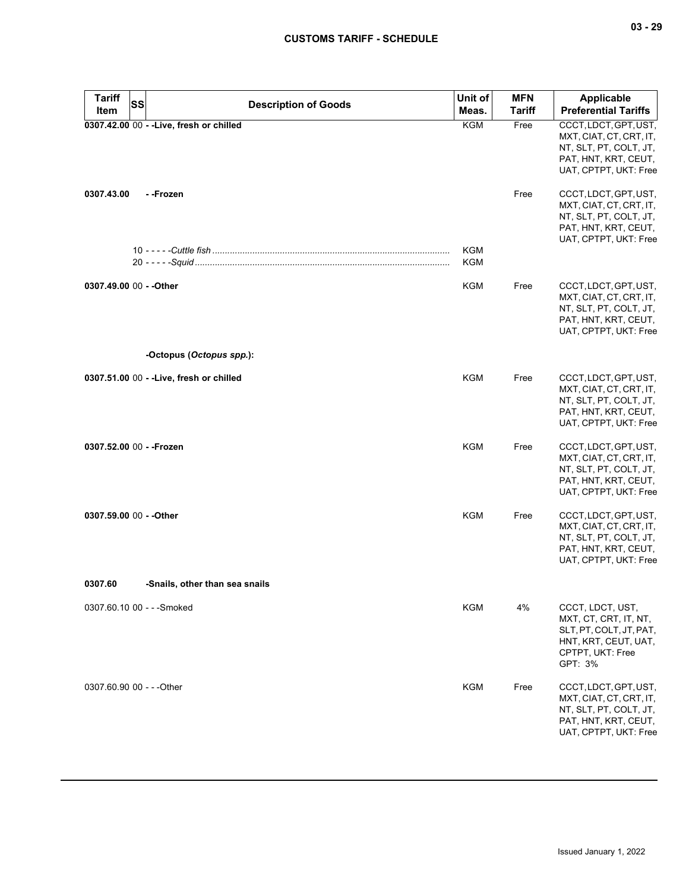| <b>Tariff</b><br>SS<br>Item | <b>Description of Goods</b>              | Unit of<br>Meas.         | <b>MFN</b><br>Tariff | Applicable<br><b>Preferential Tariffs</b>                                                                                   |
|-----------------------------|------------------------------------------|--------------------------|----------------------|-----------------------------------------------------------------------------------------------------------------------------|
|                             | 0307.42.00 00 - - Live, fresh or chilled | <b>KGM</b>               | Free                 | CCCT, LDCT, GPT, UST,<br>MXT, CIAT, CT, CRT, IT,<br>NT, SLT, PT, COLT, JT,<br>PAT, HNT, KRT, CEUT,<br>UAT, CPTPT, UKT: Free |
| 0307.43.00                  | - -Frozen                                |                          | Free                 | CCCT, LDCT, GPT, UST,<br>MXT, CIAT, CT, CRT, IT,<br>NT, SLT, PT, COLT, JT,<br>PAT, HNT, KRT, CEUT,<br>UAT, CPTPT, UKT: Free |
|                             |                                          | <b>KGM</b><br><b>KGM</b> |                      |                                                                                                                             |
| 0307.49.00 00 - - Other     |                                          | <b>KGM</b>               | Free                 | CCCT, LDCT, GPT, UST,<br>MXT, CIAT, CT, CRT, IT,<br>NT, SLT, PT, COLT, JT,<br>PAT, HNT, KRT, CEUT,<br>UAT, CPTPT, UKT: Free |
|                             | -Octopus (Octopus spp.):                 |                          |                      |                                                                                                                             |
|                             | 0307.51.00 00 - - Live, fresh or chilled | KGM                      | Free                 | CCCT, LDCT, GPT, UST,<br>MXT, CIAT, CT, CRT, IT,<br>NT, SLT, PT, COLT, JT,<br>PAT, HNT, KRT, CEUT,<br>UAT, CPTPT, UKT: Free |
| 0307.52.00 00 - - Frozen    |                                          | KGM                      | Free                 | CCCT, LDCT, GPT, UST,<br>MXT, CIAT, CT, CRT, IT,<br>NT, SLT, PT, COLT, JT,<br>PAT, HNT, KRT, CEUT,<br>UAT, CPTPT, UKT: Free |
| 0307.59.00 00 - - Other     |                                          | <b>KGM</b>               | Free                 | CCCT, LDCT, GPT, UST,<br>MXT, CIAT, CT, CRT, IT,<br>NT, SLT, PT, COLT, JT,<br>PAT, HNT, KRT, CEUT,<br>UAT, CPTPT, UKT: Free |
| 0307.60                     | -Snails, other than sea snails           |                          |                      |                                                                                                                             |
| 0307.60.10 00 - - - Smoked  |                                          | KGM                      | 4%                   | CCCT, LDCT, UST,<br>MXT, CT, CRT, IT, NT,<br>SLT, PT, COLT, JT, PAT,<br>HNT, KRT, CEUT, UAT,<br>CPTPT, UKT: Free<br>GPT: 3% |
| 0307.60.90 00 - - - Other   |                                          | <b>KGM</b>               | Free                 | CCCT, LDCT, GPT, UST,<br>MXT, CIAT, CT, CRT, IT,<br>NT, SLT, PT, COLT, JT,<br>PAT, HNT, KRT, CEUT,<br>UAT, CPTPT, UKT: Free |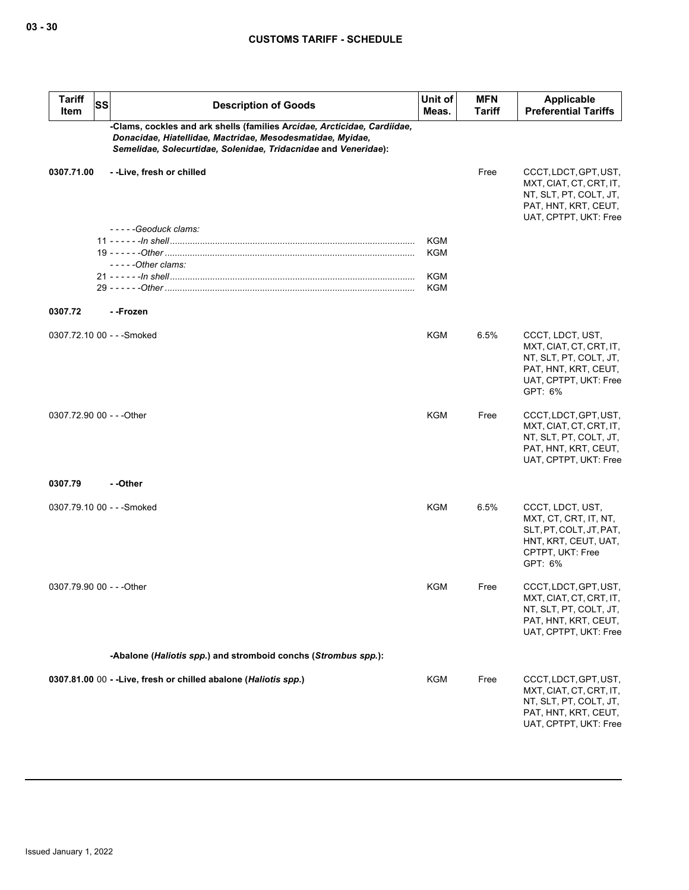| <b>Tariff</b><br>Item     | <b>SS</b> | <b>Description of Goods</b>                                                                                                                                                                               | Unit of<br>Meas. | <b>MFN</b><br>Tariff | <b>Applicable</b><br><b>Preferential Tariffs</b>                                                                                  |
|---------------------------|-----------|-----------------------------------------------------------------------------------------------------------------------------------------------------------------------------------------------------------|------------------|----------------------|-----------------------------------------------------------------------------------------------------------------------------------|
|                           |           | -Clams, cockles and ark shells (families Arcidae, Arcticidae, Cardiidae,<br>Donacidae, Hiatellidae, Mactridae, Mesodesmatidae, Myidae,<br>Semelidae, Solecurtidae, Solenidae, Tridacnidae and Veneridae): |                  |                      |                                                                                                                                   |
| 0307.71.00                |           | --Live, fresh or chilled<br>-----Geoduck clams:                                                                                                                                                           |                  | Free                 | CCCT, LDCT, GPT, UST,<br>MXT, CIAT, CT, CRT, IT,<br>NT, SLT, PT, COLT, JT,<br>PAT, HNT, KRT, CEUT,<br>UAT, CPTPT, UKT: Free       |
|                           |           |                                                                                                                                                                                                           | <b>KGM</b>       |                      |                                                                                                                                   |
|                           |           | -----Other clams:                                                                                                                                                                                         | <b>KGM</b>       |                      |                                                                                                                                   |
|                           |           |                                                                                                                                                                                                           | <b>KGM</b>       |                      |                                                                                                                                   |
|                           |           |                                                                                                                                                                                                           | <b>KGM</b>       |                      |                                                                                                                                   |
| 0307.72                   |           | - -Frozen                                                                                                                                                                                                 |                  |                      |                                                                                                                                   |
|                           |           | 0307.72.10 00 - - - Smoked                                                                                                                                                                                | KGM              | 6.5%                 | CCCT, LDCT, UST,<br>MXT, CIAT, CT, CRT, IT,<br>NT, SLT, PT, COLT, JT,<br>PAT, HNT, KRT, CEUT,<br>UAT, CPTPT, UKT: Free<br>GPT: 6% |
| 0307.72.90 00 - - - Other |           |                                                                                                                                                                                                           | <b>KGM</b>       | Free                 | CCCT, LDCT, GPT, UST,<br>MXT, CIAT, CT, CRT, IT,<br>NT, SLT, PT, COLT, JT,<br>PAT, HNT, KRT, CEUT,<br>UAT, CPTPT, UKT: Free       |
| 0307.79                   |           | - -Other                                                                                                                                                                                                  |                  |                      |                                                                                                                                   |
|                           |           | 0307.79.10 00 - - - Smoked                                                                                                                                                                                | KGM              | 6.5%                 | CCCT, LDCT, UST,<br>MXT, CT, CRT, IT, NT,<br>SLT, PT, COLT, JT, PAT,<br>HNT, KRT, CEUT, UAT,<br>CPTPT, UKT: Free<br>GPT: 6%       |
| 0307.79.90 00 - - - Other |           |                                                                                                                                                                                                           | <b>KGM</b>       | Free                 | CCCT, LDCT, GPT, UST,<br>MXT, CIAT, CT, CRT, IT,<br>NT, SLT, PT, COLT, JT,<br>PAT, HNT, KRT, CEUT,<br>UAT, CPTPT, UKT: Free       |
|                           |           | -Abalone (Haliotis spp.) and stromboid conchs (Strombus spp.):                                                                                                                                            |                  |                      |                                                                                                                                   |
|                           |           | 0307.81.00 00 - - Live, fresh or chilled abalone (Haliotis spp.)                                                                                                                                          | KGM              | Free                 | CCCT, LDCT, GPT, UST,                                                                                                             |
|                           |           |                                                                                                                                                                                                           |                  |                      | MXT, CIAT, CT, CRT, IT,<br>NT, SLT, PT, COLT, JT,<br>PAT, HNT, KRT, CEUT,<br>UAT, CPTPT, UKT: Free                                |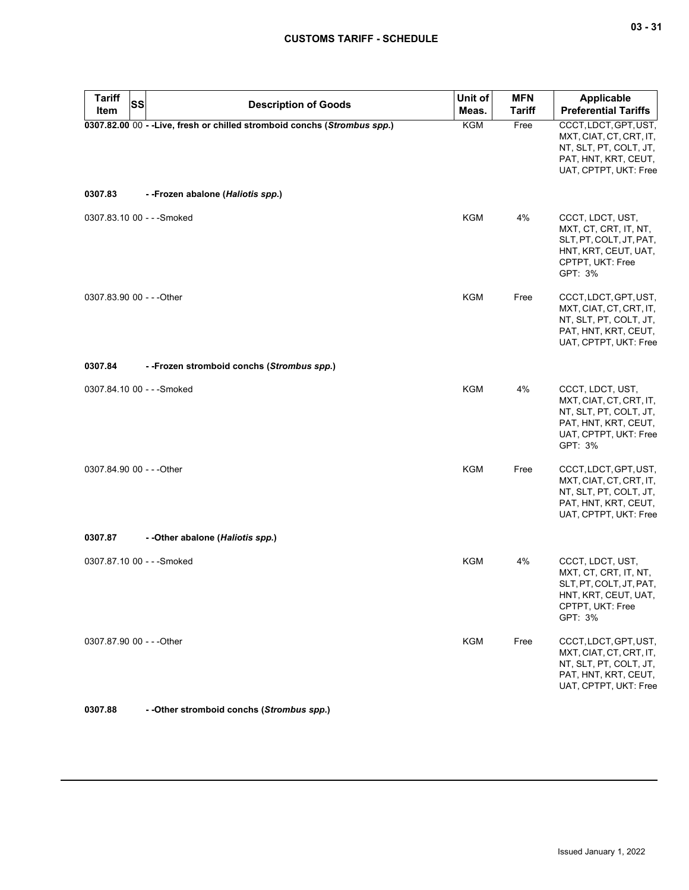| <b>Tariff</b><br><b>Item</b> | SS | <b>Description of Goods</b>                                               | Unit of<br>Meas. | <b>MFN</b><br><b>Tariff</b> | Applicable<br><b>Preferential Tariffs</b>                                                                                         |
|------------------------------|----|---------------------------------------------------------------------------|------------------|-----------------------------|-----------------------------------------------------------------------------------------------------------------------------------|
|                              |    | 0307.82.00 00 - - Live, fresh or chilled stromboid conchs (Strombus spp.) | KGM              | Free                        | CCCT, LDCT, GPT, UST,<br>MXT, CIAT, CT, CRT, IT,<br>NT, SLT, PT, COLT, JT,<br>PAT, HNT, KRT, CEUT,<br>UAT, CPTPT, UKT: Free       |
| 0307.83                      |    | --Frozen abalone (Haliotis spp.)                                          |                  |                             |                                                                                                                                   |
| 0307.83.10 00 - - - Smoked   |    |                                                                           | <b>KGM</b>       | 4%                          | CCCT, LDCT, UST,<br>MXT, CT, CRT, IT, NT,<br>SLT, PT, COLT, JT, PAT,<br>HNT, KRT, CEUT, UAT,<br>CPTPT, UKT: Free<br>GPT: 3%       |
| 0307.83.90 00 - - - Other    |    |                                                                           | KGM              | Free                        | CCCT, LDCT, GPT, UST,<br>MXT, CIAT, CT, CRT, IT,<br>NT, SLT, PT, COLT, JT,<br>PAT, HNT, KRT, CEUT,<br>UAT, CPTPT, UKT: Free       |
| 0307.84                      |    | --Frozen stromboid conchs (Strombus spp.)                                 |                  |                             |                                                                                                                                   |
| 0307.84.10 00 - - - Smoked   |    |                                                                           | <b>KGM</b>       | 4%                          | CCCT, LDCT, UST,<br>MXT, CIAT, CT, CRT, IT,<br>NT, SLT, PT, COLT, JT,<br>PAT, HNT, KRT, CEUT,<br>UAT, CPTPT, UKT: Free<br>GPT: 3% |
| 0307.84.90 00 - - - Other    |    |                                                                           | <b>KGM</b>       | Free                        | CCCT, LDCT, GPT, UST,<br>MXT, CIAT, CT, CRT, IT,<br>NT, SLT, PT, COLT, JT,<br>PAT, HNT, KRT, CEUT,<br>UAT, CPTPT, UKT: Free       |
| 0307.87                      |    | - - Other abalone (Haliotis spp.)                                         |                  |                             |                                                                                                                                   |
| 0307.87.10 00 - - - Smoked   |    |                                                                           | <b>KGM</b>       | 4%                          | CCCT, LDCT, UST,<br>MXT, CT, CRT, IT, NT,<br>SLT, PT, COLT, JT, PAT,<br>HNT, KRT, CEUT, UAT,<br>CPTPT, UKT: Free<br>GPT: 3%       |
| 0307.87.90 00 - - - Other    |    |                                                                           | <b>KGM</b>       | Free                        | CCCT, LDCT, GPT, UST,<br>MXT, CIAT, CT, CRT, IT,<br>NT, SLT, PT, COLT, JT,<br>PAT, HNT, KRT, CEUT,<br>UAT, CPTPT, UKT: Free       |
| 0307.88                      |    | - - Other stromboid conchs (Strombus spp.)                                |                  |                             |                                                                                                                                   |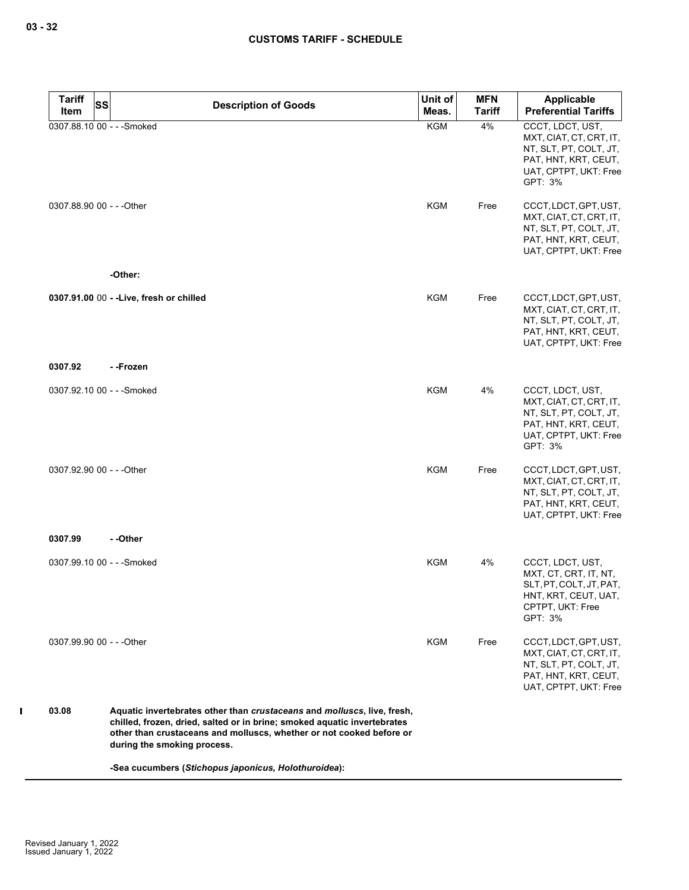| <b>Tariff</b><br><b>SS</b> | <b>Description of Goods</b>                                                                                                                                                                                                                                | Unit of    | <b>MFN</b>    | Applicable                                                                                                                        |
|----------------------------|------------------------------------------------------------------------------------------------------------------------------------------------------------------------------------------------------------------------------------------------------------|------------|---------------|-----------------------------------------------------------------------------------------------------------------------------------|
| Item                       |                                                                                                                                                                                                                                                            | Meas.      | <b>Tariff</b> | <b>Preferential Tariffs</b>                                                                                                       |
| 0307.88.10 00 - - - Smoked |                                                                                                                                                                                                                                                            | <b>KGM</b> | 4%            | CCCT, LDCT, UST,<br>MXT, CIAT, CT, CRT, IT,<br>NT, SLT, PT, COLT, JT,<br>PAT, HNT, KRT, CEUT,<br>UAT, CPTPT, UKT: Free<br>GPT: 3% |
| 0307.88.90 00 - - - Other  |                                                                                                                                                                                                                                                            | <b>KGM</b> | Free          | CCCT, LDCT, GPT, UST,<br>MXT, CIAT, CT, CRT, IT,<br>NT, SLT, PT, COLT, JT,<br>PAT, HNT, KRT, CEUT,<br>UAT, CPTPT, UKT: Free       |
|                            | -Other:                                                                                                                                                                                                                                                    |            |               |                                                                                                                                   |
|                            | 0307.91.00 00 - - Live, fresh or chilled                                                                                                                                                                                                                   | KGM        | Free          | CCCT, LDCT, GPT, UST,<br>MXT, CIAT, CT, CRT, IT,<br>NT, SLT, PT, COLT, JT,<br>PAT, HNT, KRT, CEUT,<br>UAT, CPTPT, UKT: Free       |
| 0307.92                    | - -Frozen                                                                                                                                                                                                                                                  |            |               |                                                                                                                                   |
| 0307.92.10 00 - - - Smoked |                                                                                                                                                                                                                                                            | <b>KGM</b> | 4%            | CCCT, LDCT, UST,<br>MXT, CIAT, CT, CRT, IT,<br>NT, SLT, PT, COLT, JT,<br>PAT, HNT, KRT, CEUT,<br>UAT, CPTPT, UKT: Free<br>GPT: 3% |
| 0307.92.90 00 - - - Other  |                                                                                                                                                                                                                                                            | <b>KGM</b> | Free          | CCCT, LDCT, GPT, UST,<br>MXT, CIAT, CT, CRT, IT,<br>NT, SLT, PT, COLT, JT,<br>PAT, HNT, KRT, CEUT,<br>UAT, CPTPT, UKT: Free       |
| 0307.99                    | - -Other                                                                                                                                                                                                                                                   |            |               |                                                                                                                                   |
| 0307.99.10 00 - - - Smoked |                                                                                                                                                                                                                                                            | <b>KGM</b> | 4%            | CCCT, LDCT, UST,<br>MXT, CT, CRT, IT, NT,<br>SLT, PT, COLT, JT, PAT,<br>HNT, KRT, CEUT, UAT,<br>CPTPT, UKT: Free<br>GPT: 3%       |
| 0307.99.90 00 - - - Other  |                                                                                                                                                                                                                                                            | KGM        | Free          | CCCT, LDCT, GPT, UST,<br>MXT, CIAT, CT, CRT, IT,<br>NT, SLT, PT, COLT, JT,<br>PAT, HNT, KRT, CEUT,<br>UAT, CPTPT, UKT: Free       |
| 03.08                      | Aquatic invertebrates other than crustaceans and molluscs, live, fresh,<br>chilled, frozen, dried, salted or in brine; smoked aquatic invertebrates<br>other than crustaceans and molluscs, whether or not cooked before or<br>during the smoking process. |            |               |                                                                                                                                   |
|                            | -Sea cucumbers (Stichopus japonicus, Holothuroidea):                                                                                                                                                                                                       |            |               |                                                                                                                                   |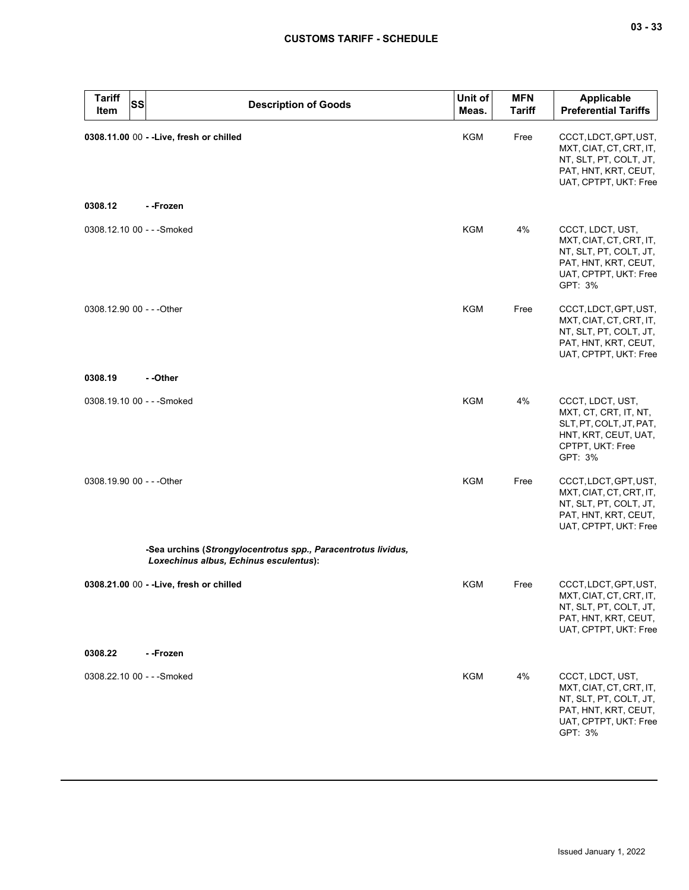| <b>Tariff</b><br><b>Item</b> | <b>SS</b> | <b>Description of Goods</b>                                                                             | Unit of<br>Meas. | <b>MFN</b><br><b>Tariff</b> | <b>Applicable</b><br><b>Preferential Tariffs</b>                                                                                  |
|------------------------------|-----------|---------------------------------------------------------------------------------------------------------|------------------|-----------------------------|-----------------------------------------------------------------------------------------------------------------------------------|
|                              |           | 0308.11.00 00 - - Live, fresh or chilled                                                                | KGM              | Free                        | CCCT, LDCT, GPT, UST,<br>MXT, CIAT, CT, CRT, IT,<br>NT, SLT, PT, COLT, JT,<br>PAT, HNT, KRT, CEUT,<br>UAT, CPTPT, UKT: Free       |
| 0308.12                      |           | - -Frozen                                                                                               |                  |                             |                                                                                                                                   |
|                              |           | 0308.12.10 00 - - - Smoked                                                                              | <b>KGM</b>       | 4%                          | CCCT, LDCT, UST,<br>MXT, CIAT, CT, CRT, IT,<br>NT, SLT, PT, COLT, JT,<br>PAT, HNT, KRT, CEUT,<br>UAT, CPTPT, UKT: Free<br>GPT: 3% |
| 0308.12.90 00 - - - Other    |           |                                                                                                         | KGM              | Free                        | CCCT, LDCT, GPT, UST,<br>MXT, CIAT, CT, CRT, IT,<br>NT, SLT, PT, COLT, JT,<br>PAT, HNT, KRT, CEUT,<br>UAT, CPTPT, UKT: Free       |
| 0308.19                      |           | - -Other                                                                                                |                  |                             |                                                                                                                                   |
|                              |           | 0308.19.10 00 - - - Smoked                                                                              | <b>KGM</b>       | 4%                          | CCCT, LDCT, UST,<br>MXT, CT, CRT, IT, NT,<br>SLT, PT, COLT, JT, PAT,<br>HNT, KRT, CEUT, UAT,<br>CPTPT, UKT: Free<br>GPT: 3%       |
| 0308.19.90 00 - - - Other    |           |                                                                                                         | <b>KGM</b>       | Free                        | CCCT, LDCT, GPT, UST,<br>MXT, CIAT, CT, CRT, IT,<br>NT, SLT, PT, COLT, JT,<br>PAT, HNT, KRT, CEUT,<br>UAT, CPTPT, UKT: Free       |
|                              |           | -Sea urchins (Strongylocentrotus spp., Paracentrotus lividus,<br>Loxechinus albus, Echinus esculentus): |                  |                             |                                                                                                                                   |
|                              |           | 0308.21.00 00 - - Live, fresh or chilled                                                                | <b>KGM</b>       | Free                        | CCCT, LDCT, GPT, UST,<br>MXT, CIAT, CT, CRT, IT,<br>NT, SLT, PT, COLT, JT,<br>PAT, HNT, KRT, CEUT,<br>UAT, CPTPT, UKT: Free       |
| 0308.22                      |           | - -Frozen                                                                                               |                  |                             |                                                                                                                                   |
|                              |           | 0308.22.10 00 - - - Smoked                                                                              | <b>KGM</b>       | 4%                          | CCCT, LDCT, UST,<br>MXT, CIAT, CT, CRT, IT,<br>NT, SLT, PT, COLT, JT,<br>PAT, HNT, KRT, CEUT,<br>UAT, CPTPT, UKT: Free<br>GPT: 3% |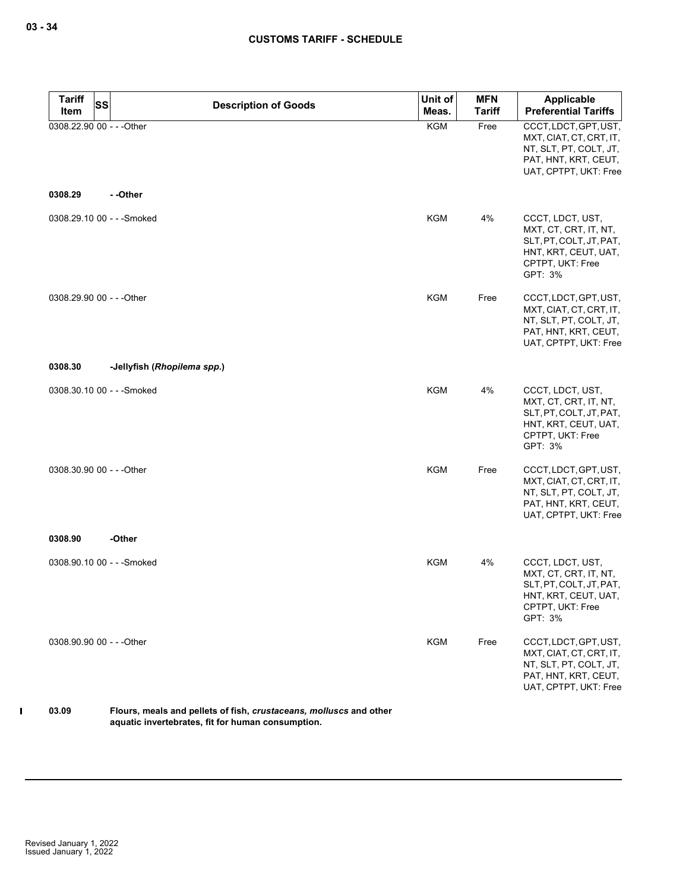| <b>Tariff</b><br><b>SS</b><br>Item | <b>Description of Goods</b> | Unit of<br>Meas. | <b>MFN</b><br><b>Tariff</b> | Applicable<br><b>Preferential Tariffs</b>                                                                                   |
|------------------------------------|-----------------------------|------------------|-----------------------------|-----------------------------------------------------------------------------------------------------------------------------|
| 0308.22.90 00 - - - Other          |                             | <b>KGM</b>       | Free                        | CCCT, LDCT, GPT, UST,<br>MXT, CIAT, CT, CRT, IT,<br>NT, SLT, PT, COLT, JT,<br>PAT, HNT, KRT, CEUT,<br>UAT, CPTPT, UKT: Free |
| 0308.29                            | - -Other                    |                  |                             |                                                                                                                             |
| 0308.29.10 00 - - - Smoked         |                             | <b>KGM</b>       | 4%                          | CCCT, LDCT, UST,<br>MXT, CT, CRT, IT, NT,<br>SLT, PT, COLT, JT, PAT,<br>HNT, KRT, CEUT, UAT,<br>CPTPT, UKT: Free<br>GPT: 3% |
| 0308.29.90 00 - - - Other          |                             | <b>KGM</b>       | Free                        | CCCT, LDCT, GPT, UST,<br>MXT, CIAT, CT, CRT, IT,<br>NT, SLT, PT, COLT, JT,<br>PAT, HNT, KRT, CEUT,<br>UAT, CPTPT, UKT: Free |
| 0308.30                            | -Jellyfish (Rhopilema spp.) |                  |                             |                                                                                                                             |
| 0308.30.10 00 - - - Smoked         |                             | <b>KGM</b>       | 4%                          | CCCT, LDCT, UST,<br>MXT, CT, CRT, IT, NT,<br>SLT, PT, COLT, JT, PAT,<br>HNT, KRT, CEUT, UAT,<br>CPTPT, UKT: Free<br>GPT: 3% |
| 0308.30.90 00 - - - Other          |                             | <b>KGM</b>       | Free                        | CCCT, LDCT, GPT, UST,<br>MXT, CIAT, CT, CRT, IT,<br>NT, SLT, PT, COLT, JT,<br>PAT, HNT, KRT, CEUT,<br>UAT, CPTPT, UKT: Free |
| 0308.90                            | -Other                      |                  |                             |                                                                                                                             |
| 0308.90.10 00 - - - Smoked         |                             | <b>KGM</b>       | 4%                          | CCCT, LDCT, UST,<br>MXT, CT, CRT, IT, NT,<br>SLT, PT, COLT, JT, PAT,<br>HNT, KRT, CEUT, UAT,<br>CPTPT, UKT: Free<br>GPT: 3% |
| 0308.90.90 00 - - - Other          |                             | <b>KGM</b>       | Free                        | CCCT, LDCT, GPT, UST,<br>MXT, CIAT, CT, CRT, IT,<br>NT, SLT, PT, COLT, JT,<br>PAT, HNT, KRT, CEUT,<br>UAT, CPTPT, UKT: Free |

#### **03.09 Flours, meals and pellets of fish,** *crustaceans, molluscs* **and other aquatic invertebrates, fit for human consumption.**